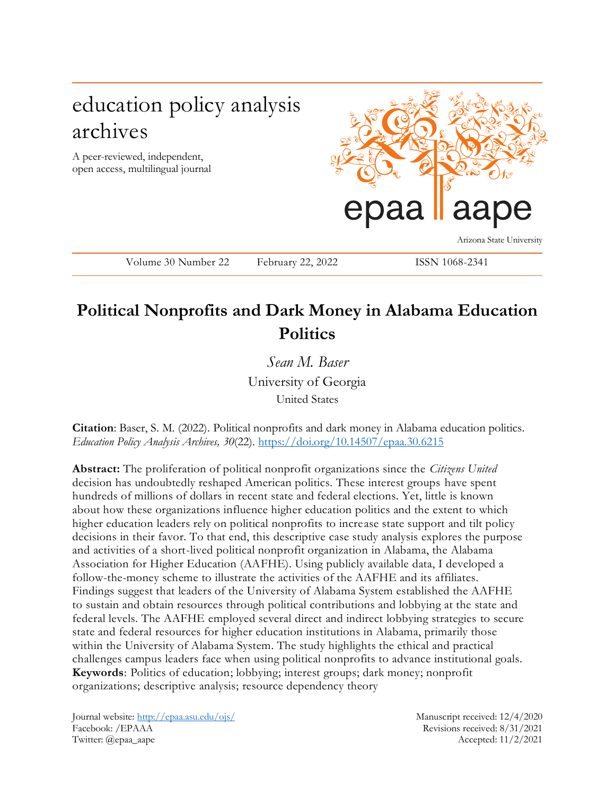# education policy analysis archives

A peer-reviewed, independent, open access, multilingual journal



Arizona State University

Volume 30 Number 22 February 22, 2022 ISSN 1068-2341

## **Political Nonprofits and Dark Money in Alabama Education Politics**

*Sean M. Baser* University of Georgia United States

**Citation**: Baser, S. M. (2022). Political nonprofits and dark money in Alabama education politics. *Education Policy Analysis Archives, 30*(22).<https://doi.org/10.14507/epaa.30.6215>

**Abstract:** The proliferation of political nonprofit organizations since the *Citizens United* decision has undoubtedly reshaped American politics. These interest groups have spent hundreds of millions of dollars in recent state and federal elections. Yet, little is known about how these organizations influence higher education politics and the extent to which higher education leaders rely on political nonprofits to increase state support and tilt policy decisions in their favor. To that end, this descriptive case study analysis explores the purpose and activities of a short-lived political nonprofit organization in Alabama, the Alabama Association for Higher Education (AAFHE). Using publicly available data, I developed a follow-the-money scheme to illustrate the activities of the AAFHE and its affiliates. Findings suggest that leaders of the University of Alabama System established the AAFHE to sustain and obtain resources through political contributions and lobbying at the state and federal levels. The AAFHE employed several direct and indirect lobbying strategies to secure state and federal resources for higher education institutions in Alabama, primarily those within the University of Alabama System. The study highlights the ethical and practical challenges campus leaders face when using political nonprofits to advance institutional goals. **Keywords**: Politics of education; lobbying; interest groups; dark money; nonprofit organizations; descriptive analysis; resource dependency theory

Journal website:<http://epaa.asu.edu/ojs/> Manuscript received: 12/4/2020 Facebook: /EPAAA Revisions received: 8/31/2021 Twitter: @epaa\_aape Accepted: 11/2/2021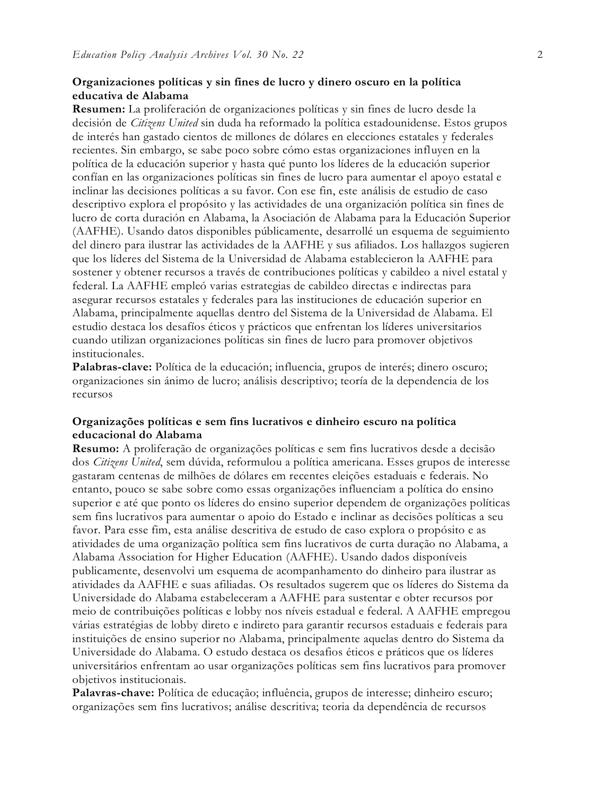## **Organizaciones políticas y sin fines de lucro y dinero oscuro en la política educativa de Alabama**

**Resumen:** La proliferación de organizaciones políticas y sin fines de lucro desde la decisión de *Citizens United* sin duda ha reformado la política estadounidense. Estos grupos de interés han gastado cientos de millones de dólares en elecciones estatales y federales recientes. Sin embargo, se sabe poco sobre cómo estas organizaciones influyen en la política de la educación superior y hasta qué punto los líderes de la educación superior confían en las organizaciones políticas sin fines de lucro para aumentar el apoyo estatal e inclinar las decisiones políticas a su favor. Con ese fin, este análisis de estudio de caso descriptivo explora el propósito y las actividades de una organización política sin fines de lucro de corta duración en Alabama, la Asociación de Alabama para la Educación Superior (AAFHE). Usando datos disponibles públicamente, desarrollé un esquema de seguimiento del dinero para ilustrar las actividades de la AAFHE y sus afiliados. Los hallazgos sugieren que los líderes del Sistema de la Universidad de Alabama establecieron la AAFHE para sostener y obtener recursos a través de contribuciones políticas y cabildeo a nivel estatal y federal. La AAFHE empleó varias estrategias de cabildeo directas e indirectas para asegurar recursos estatales y federales para las instituciones de educación superior en Alabama, principalmente aquellas dentro del Sistema de la Universidad de Alabama. El estudio destaca los desafíos éticos y prácticos que enfrentan los líderes universitarios cuando utilizan organizaciones políticas sin fines de lucro para promover objetivos institucionales.

**Palabras-clave:** Política de la educación; influencia, grupos de interés; dinero oscuro; organizaciones sin ánimo de lucro; análisis descriptivo; teoría de la dependencia de los recursos

## **Organizações políticas e sem fins lucrativos e dinheiro escuro na política educacional do Alabama**

**Resumo:** A proliferação de organizações políticas e sem fins lucrativos desde a decisão dos *Citizens United*, sem dúvida, reformulou a política americana. Esses grupos de interesse gastaram centenas de milhões de dólares em recentes eleições estaduais e federais. No entanto, pouco se sabe sobre como essas organizações influenciam a política do ensino superior e até que ponto os líderes do ensino superior dependem de organizações políticas sem fins lucrativos para aumentar o apoio do Estado e inclinar as decisões políticas a seu favor. Para esse fim, esta análise descritiva de estudo de caso explora o propósito e as atividades de uma organização política sem fins lucrativos de curta duração no Alabama, a Alabama Association for Higher Education (AAFHE). Usando dados disponíveis publicamente, desenvolvi um esquema de acompanhamento do dinheiro para ilustrar as atividades da AAFHE e suas afiliadas. Os resultados sugerem que os líderes do Sistema da Universidade do Alabama estabeleceram a AAFHE para sustentar e obter recursos por meio de contribuições políticas e lobby nos níveis estadual e federal. A AAFHE empregou várias estratégias de lobby direto e indireto para garantir recursos estaduais e federais para instituições de ensino superior no Alabama, principalmente aquelas dentro do Sistema da Universidade do Alabama. O estudo destaca os desafios éticos e práticos que os líderes universitários enfrentam ao usar organizações políticas sem fins lucrativos para promover objetivos institucionais.

**Palavras-chave:** Política de educação; influência, grupos de interesse; dinheiro escuro; organizações sem fins lucrativos; análise descritiva; teoria da dependência de recursos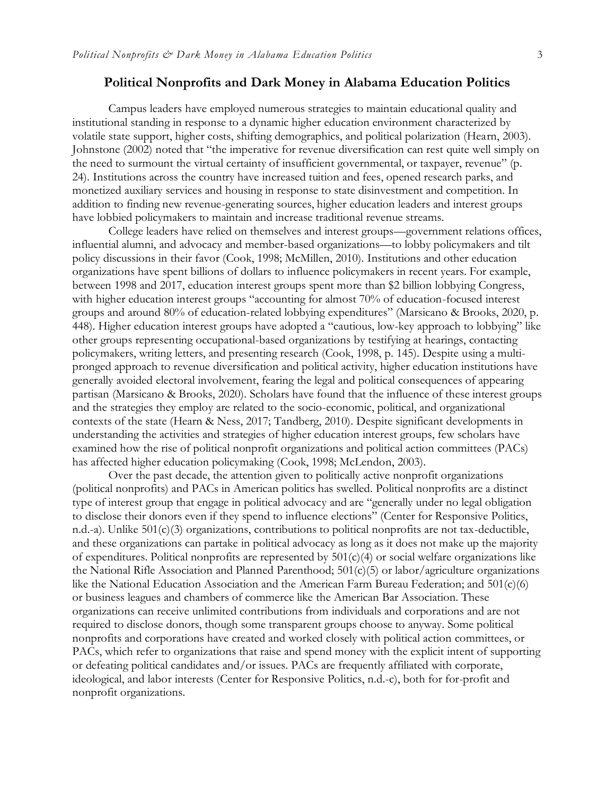## **Political Nonprofits and Dark Money in Alabama Education Politics**

Campus leaders have employed numerous strategies to maintain educational quality and institutional standing in response to a dynamic higher education environment characterized by volatile state support, higher costs, shifting demographics, and political polarization (Hearn, 2003). Johnstone (2002) noted that "the imperative for revenue diversification can rest quite well simply on the need to surmount the virtual certainty of insufficient governmental, or taxpayer, revenue" (p. 24). Institutions across the country have increased tuition and fees, opened research parks, and monetized auxiliary services and housing in response to state disinvestment and competition. In addition to finding new revenue-generating sources, higher education leaders and interest groups have lobbied policymakers to maintain and increase traditional revenue streams.

College leaders have relied on themselves and interest groups—government relations offices, influential alumni, and advocacy and member-based organizations—to lobby policymakers and tilt policy discussions in their favor (Cook, 1998; McMillen, 2010). Institutions and other education organizations have spent billions of dollars to influence policymakers in recent years. For example, between 1998 and 2017, education interest groups spent more than \$2 billion lobbying Congress, with higher education interest groups "accounting for almost 70% of education-focused interest groups and around 80% of education-related lobbying expenditures" (Marsicano & Brooks, 2020, p. 448). Higher education interest groups have adopted a "cautious, low-key approach to lobbying" like other groups representing occupational-based organizations by testifying at hearings, contacting policymakers, writing letters, and presenting research (Cook, 1998, p. 145). Despite using a multipronged approach to revenue diversification and political activity, higher education institutions have generally avoided electoral involvement, fearing the legal and political consequences of appearing partisan (Marsicano & Brooks, 2020). Scholars have found that the influence of these interest groups and the strategies they employ are related to the socio-economic, political, and organizational contexts of the state (Hearn & Ness, 2017; Tandberg, 2010). Despite significant developments in understanding the activities and strategies of higher education interest groups, few scholars have examined how the rise of political nonprofit organizations and political action committees (PACs) has affected higher education policymaking (Cook, 1998; McLendon, 2003).

Over the past decade, the attention given to politically active nonprofit organizations (political nonprofits) and PACs in American politics has swelled. Political nonprofits are a distinct type of interest group that engage in political advocacy and are "generally under no legal obligation to disclose their donors even if they spend to influence elections" (Center for Responsive Politics, n.d.-a). Unlike 501(c)(3) organizations, contributions to political nonprofits are not tax-deductible, and these organizations can partake in political advocacy as long as it does not make up the majority of expenditures. Political nonprofits are represented by  $501(c)(4)$  or social welfare organizations like the National Rifle Association and Planned Parenthood;  $501(c)(5)$  or labor/agriculture organizations like the National Education Association and the American Farm Bureau Federation; and  $501(c)(6)$ or business leagues and chambers of commerce like the American Bar Association. These organizations can receive unlimited contributions from individuals and corporations and are not required to disclose donors, though some transparent groups choose to anyway. Some political nonprofits and corporations have created and worked closely with political action committees, or PACs, which refer to organizations that raise and spend money with the explicit intent of supporting or defeating political candidates and/or issues. PACs are frequently affiliated with corporate, ideological, and labor interests (Center for Responsive Politics, n.d.-c), both for for-profit and nonprofit organizations.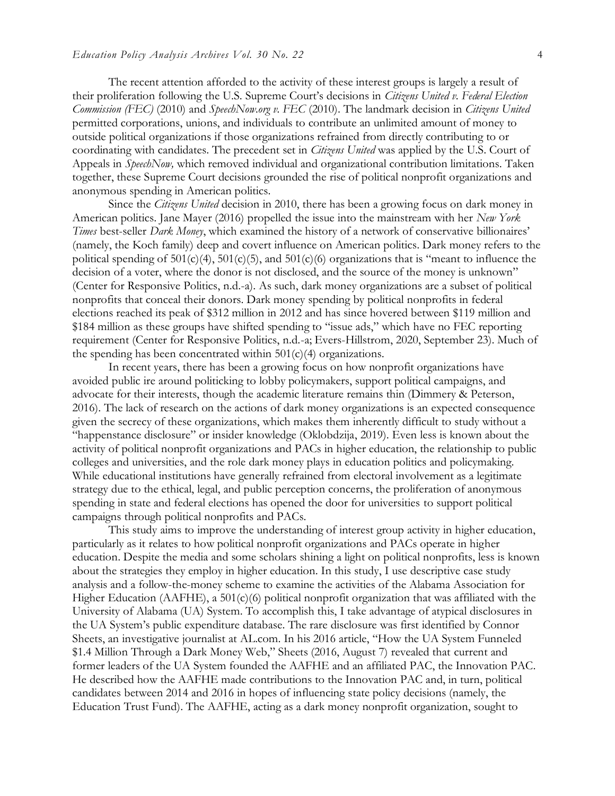The recent attention afforded to the activity of these interest groups is largely a result of their proliferation following the U.S. Supreme Court's decisions in *Citizens United v. Federal Election Commission (FEC)* (2010) and *SpeechNow.org v. FEC* (2010). The landmark decision in *Citizens United*  permitted corporations, unions, and individuals to contribute an unlimited amount of money to outside political organizations if those organizations refrained from directly contributing to or coordinating with candidates. The precedent set in *Citizens United* was applied by the U.S. Court of Appeals in *SpeechNow,* which removed individual and organizational contribution limitations. Taken together, these Supreme Court decisions grounded the rise of political nonprofit organizations and anonymous spending in American politics.

Since the *Citizens United* decision in 2010, there has been a growing focus on dark money in American politics. Jane Mayer (2016) propelled the issue into the mainstream with her *New York Times* best-seller *Dark Money*, which examined the history of a network of conservative billionaires' (namely, the Koch family) deep and covert influence on American politics. Dark money refers to the political spending of  $501(c)(4)$ ,  $501(c)(5)$ , and  $501(c)(6)$  organizations that is "meant to influence the decision of a voter, where the donor is not disclosed, and the source of the money is unknown" (Center for Responsive Politics, n.d.-a). As such, dark money organizations are a subset of political nonprofits that conceal their donors. Dark money spending by political nonprofits in federal elections reached its peak of \$312 million in 2012 and has since hovered between \$119 million and \$184 million as these groups have shifted spending to "issue ads," which have no FEC reporting requirement (Center for Responsive Politics, n.d.-a; Evers-Hillstrom, 2020, September 23). Much of the spending has been concentrated within  $501(c)(4)$  organizations.

In recent years, there has been a growing focus on how nonprofit organizations have avoided public ire around politicking to lobby policymakers, support political campaigns, and advocate for their interests, though the academic literature remains thin (Dimmery & Peterson, 2016). The lack of research on the actions of dark money organizations is an expected consequence given the secrecy of these organizations, which makes them inherently difficult to study without a "happenstance disclosure" or insider knowledge (Oklobdzija, 2019). Even less is known about the activity of political nonprofit organizations and PACs in higher education, the relationship to public colleges and universities, and the role dark money plays in education politics and policymaking. While educational institutions have generally refrained from electoral involvement as a legitimate strategy due to the ethical, legal, and public perception concerns, the proliferation of anonymous spending in state and federal elections has opened the door for universities to support political campaigns through political nonprofits and PACs.

This study aims to improve the understanding of interest group activity in higher education, particularly as it relates to how political nonprofit organizations and PACs operate in higher education. Despite the media and some scholars shining a light on political nonprofits, less is known about the strategies they employ in higher education. In this study, I use descriptive case study analysis and a follow-the-money scheme to examine the activities of the Alabama Association for Higher Education (AAFHE), a 501(c)(6) political nonprofit organization that was affiliated with the University of Alabama (UA) System. To accomplish this, I take advantage of atypical disclosures in the UA System's public expenditure database. The rare disclosure was first identified by Connor Sheets, an investigative journalist at AL.com. In his 2016 article, "How the UA System Funneled \$1.4 Million Through a Dark Money Web," Sheets (2016, August 7) revealed that current and former leaders of the UA System founded the AAFHE and an affiliated PAC, the Innovation PAC. He described how the AAFHE made contributions to the Innovation PAC and, in turn, political candidates between 2014 and 2016 in hopes of influencing state policy decisions (namely, the Education Trust Fund). The AAFHE, acting as a dark money nonprofit organization, sought to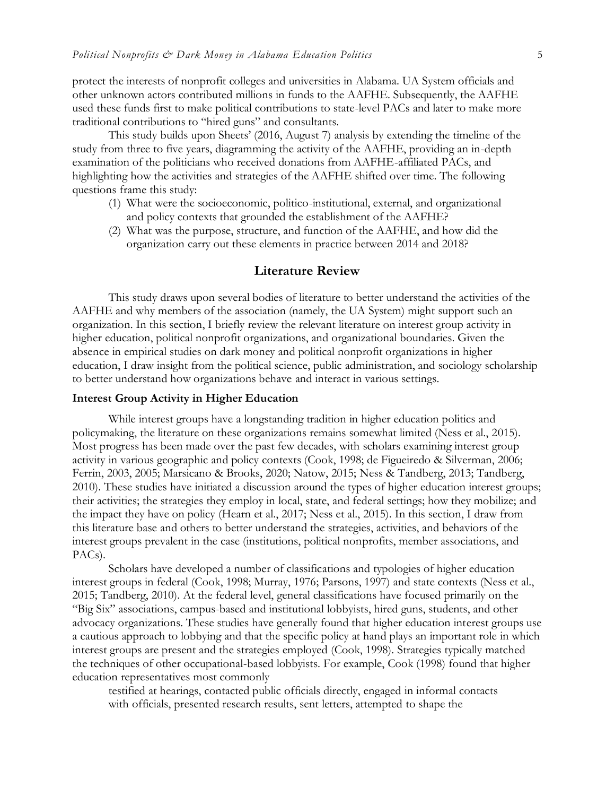protect the interests of nonprofit colleges and universities in Alabama. UA System officials and other unknown actors contributed millions in funds to the AAFHE. Subsequently, the AAFHE used these funds first to make political contributions to state-level PACs and later to make more traditional contributions to "hired guns" and consultants.

This study builds upon Sheets' (2016, August 7) analysis by extending the timeline of the study from three to five years, diagramming the activity of the AAFHE, providing an in-depth examination of the politicians who received donations from AAFHE-affiliated PACs, and highlighting how the activities and strategies of the AAFHE shifted over time. The following questions frame this study:

- (1) What were the socioeconomic, politico-institutional, external, and organizational and policy contexts that grounded the establishment of the AAFHE?
- (2) What was the purpose, structure, and function of the AAFHE, and how did the organization carry out these elements in practice between 2014 and 2018?

## **Literature Review**

This study draws upon several bodies of literature to better understand the activities of the AAFHE and why members of the association (namely, the UA System) might support such an organization. In this section, I briefly review the relevant literature on interest group activity in higher education, political nonprofit organizations, and organizational boundaries. Given the absence in empirical studies on dark money and political nonprofit organizations in higher education, I draw insight from the political science, public administration, and sociology scholarship to better understand how organizations behave and interact in various settings.

### **Interest Group Activity in Higher Education**

While interest groups have a longstanding tradition in higher education politics and policymaking, the literature on these organizations remains somewhat limited (Ness et al., 2015). Most progress has been made over the past few decades, with scholars examining interest group activity in various geographic and policy contexts (Cook, 1998; de Figueiredo & Silverman, 2006; Ferrin, 2003, 2005; Marsicano & Brooks, 2020; Natow, 2015; Ness & Tandberg, 2013; Tandberg, 2010). These studies have initiated a discussion around the types of higher education interest groups; their activities; the strategies they employ in local, state, and federal settings; how they mobilize; and the impact they have on policy (Hearn et al., 2017; Ness et al., 2015). In this section, I draw from this literature base and others to better understand the strategies, activities, and behaviors of the interest groups prevalent in the case (institutions, political nonprofits, member associations, and PACs).

Scholars have developed a number of classifications and typologies of higher education interest groups in federal (Cook, 1998; Murray, 1976; Parsons, 1997) and state contexts (Ness et al., 2015; Tandberg, 2010). At the federal level, general classifications have focused primarily on the "Big Six" associations, campus-based and institutional lobbyists, hired guns, students, and other advocacy organizations. These studies have generally found that higher education interest groups use a cautious approach to lobbying and that the specific policy at hand plays an important role in which interest groups are present and the strategies employed (Cook, 1998). Strategies typically matched the techniques of other occupational-based lobbyists. For example, Cook (1998) found that higher education representatives most commonly

testified at hearings, contacted public officials directly, engaged in informal contacts with officials, presented research results, sent letters, attempted to shape the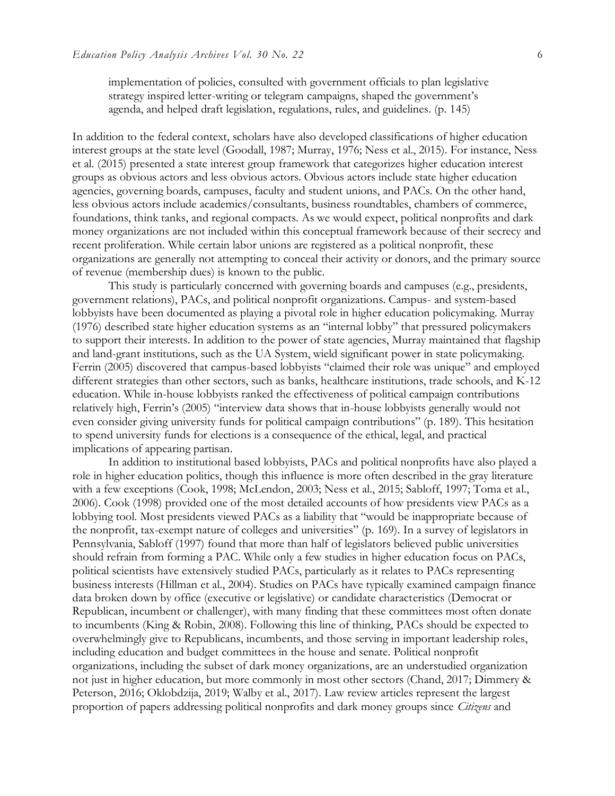implementation of policies, consulted with government officials to plan legislative strategy inspired letter-writing or telegram campaigns, shaped the government's agenda, and helped draft legislation, regulations, rules, and guidelines. (p. 145)

In addition to the federal context, scholars have also developed classifications of higher education interest groups at the state level (Goodall, 1987; Murray, 1976; Ness et al., 2015). For instance, Ness et al. (2015) presented a state interest group framework that categorizes higher education interest groups as obvious actors and less obvious actors. Obvious actors include state higher education agencies, governing boards, campuses, faculty and student unions, and PACs. On the other hand, less obvious actors include academics/consultants, business roundtables, chambers of commerce, foundations, think tanks, and regional compacts. As we would expect, political nonprofits and dark money organizations are not included within this conceptual framework because of their secrecy and recent proliferation. While certain labor unions are registered as a political nonprofit, these organizations are generally not attempting to conceal their activity or donors, and the primary source of revenue (membership dues) is known to the public.

This study is particularly concerned with governing boards and campuses (e.g., presidents, government relations), PACs, and political nonprofit organizations. Campus- and system-based lobbyists have been documented as playing a pivotal role in higher education policymaking. Murray (1976) described state higher education systems as an "internal lobby" that pressured policymakers to support their interests. In addition to the power of state agencies, Murray maintained that flagship and land-grant institutions, such as the UA System, wield significant power in state policymaking. Ferrin (2005) discovered that campus-based lobbyists "claimed their role was unique" and employed different strategies than other sectors, such as banks, healthcare institutions, trade schools, and K-12 education. While in-house lobbyists ranked the effectiveness of political campaign contributions relatively high, Ferrin's (2005) "interview data shows that in-house lobbyists generally would not even consider giving university funds for political campaign contributions" (p. 189). This hesitation to spend university funds for elections is a consequence of the ethical, legal, and practical implications of appearing partisan.

In addition to institutional based lobbyists, PACs and political nonprofits have also played a role in higher education politics, though this influence is more often described in the gray literature with a few exceptions (Cook, 1998; McLendon, 2003; Ness et al., 2015; Sabloff, 1997; Toma et al., 2006). Cook (1998) provided one of the most detailed accounts of how presidents view PACs as a lobbying tool. Most presidents viewed PACs as a liability that "would be inappropriate because of the nonprofit, tax-exempt nature of colleges and universities" (p. 169). In a survey of legislators in Pennsylvania, Sabloff (1997) found that more than half of legislators believed public universities should refrain from forming a PAC. While only a few studies in higher education focus on PACs, political scientists have extensively studied PACs, particularly as it relates to PACs representing business interests (Hillman et al., 2004). Studies on PACs have typically examined campaign finance data broken down by office (executive or legislative) or candidate characteristics (Democrat or Republican, incumbent or challenger), with many finding that these committees most often donate to incumbents (King & Robin, 2008). Following this line of thinking, PACs should be expected to overwhelmingly give to Republicans, incumbents, and those serving in important leadership roles, including education and budget committees in the house and senate. Political nonprofit organizations, including the subset of dark money organizations, are an understudied organization not just in higher education, but more commonly in most other sectors (Chand, 2017; Dimmery & Peterson, 2016; Oklobdzija, 2019; Walby et al., 2017). Law review articles represent the largest proportion of papers addressing political nonprofits and dark money groups since *Citizens* and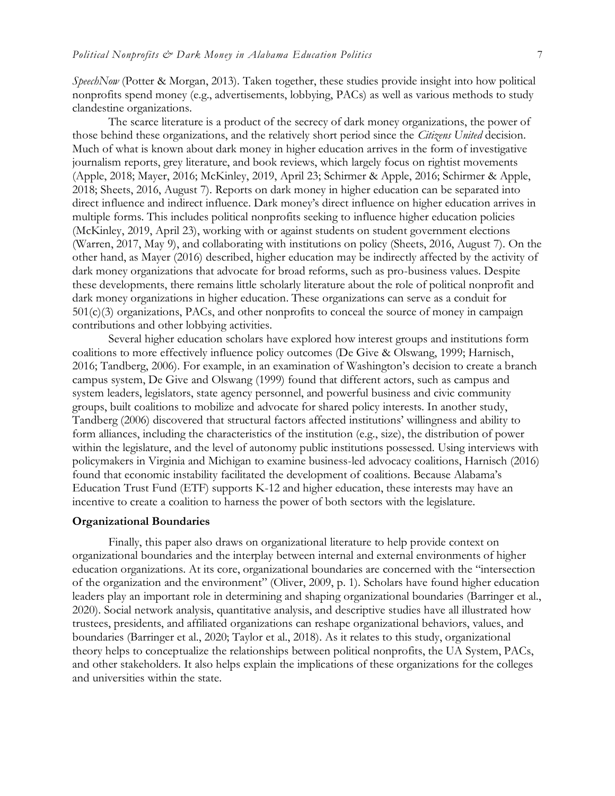*SpeechNow* (Potter & Morgan, 2013). Taken together, these studies provide insight into how political nonprofits spend money (e.g., advertisements, lobbying, PACs) as well as various methods to study clandestine organizations.

The scarce literature is a product of the secrecy of dark money organizations, the power of those behind these organizations, and the relatively short period since the *Citizens United* decision. Much of what is known about dark money in higher education arrives in the form of investigative journalism reports, grey literature, and book reviews, which largely focus on rightist movements (Apple, 2018; Mayer, 2016; McKinley, 2019, April 23; Schirmer & Apple, 2016; Schirmer & Apple, 2018; Sheets, 2016, August 7). Reports on dark money in higher education can be separated into direct influence and indirect influence. Dark money's direct influence on higher education arrives in multiple forms. This includes political nonprofits seeking to influence higher education policies (McKinley, 2019, April 23), working with or against students on student government elections (Warren, 2017, May 9), and collaborating with institutions on policy (Sheets, 2016, August 7). On the other hand, as Mayer (2016) described, higher education may be indirectly affected by the activity of dark money organizations that advocate for broad reforms, such as pro-business values. Despite these developments, there remains little scholarly literature about the role of political nonprofit and dark money organizations in higher education. These organizations can serve as a conduit for 501(c)(3) organizations, PACs, and other nonprofits to conceal the source of money in campaign contributions and other lobbying activities.

Several higher education scholars have explored how interest groups and institutions form coalitions to more effectively influence policy outcomes (De Give & Olswang, 1999; Harnisch, 2016; Tandberg, 2006). For example, in an examination of Washington's decision to create a branch campus system, De Give and Olswang (1999) found that different actors, such as campus and system leaders, legislators, state agency personnel, and powerful business and civic community groups, built coalitions to mobilize and advocate for shared policy interests. In another study, Tandberg (2006) discovered that structural factors affected institutions' willingness and ability to form alliances, including the characteristics of the institution (e.g., size), the distribution of power within the legislature, and the level of autonomy public institutions possessed. Using interviews with policymakers in Virginia and Michigan to examine business-led advocacy coalitions, Harnisch (2016) found that economic instability facilitated the development of coalitions. Because Alabama's Education Trust Fund (ETF) supports K-12 and higher education, these interests may have an incentive to create a coalition to harness the power of both sectors with the legislature.

#### **Organizational Boundaries**

Finally, this paper also draws on organizational literature to help provide context on organizational boundaries and the interplay between internal and external environments of higher education organizations. At its core, organizational boundaries are concerned with the "intersection of the organization and the environment" (Oliver, 2009, p. 1). Scholars have found higher education leaders play an important role in determining and shaping organizational boundaries (Barringer et al., 2020). Social network analysis, quantitative analysis, and descriptive studies have all illustrated how trustees, presidents, and affiliated organizations can reshape organizational behaviors, values, and boundaries (Barringer et al., 2020; Taylor et al., 2018). As it relates to this study, organizational theory helps to conceptualize the relationships between political nonprofits, the UA System, PACs, and other stakeholders. It also helps explain the implications of these organizations for the colleges and universities within the state.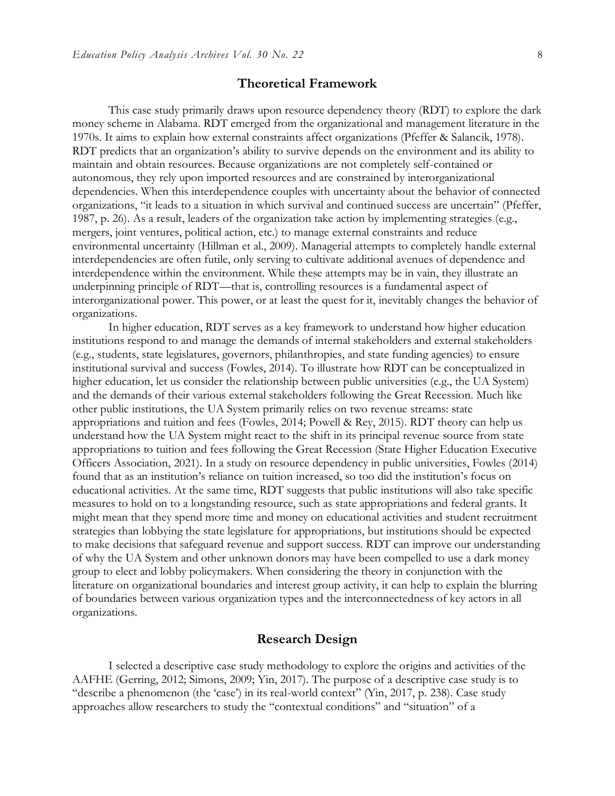## **Theoretical Framework**

This case study primarily draws upon resource dependency theory (RDT) to explore the dark money scheme in Alabama. RDT emerged from the organizational and management literature in the 1970s. It aims to explain how external constraints affect organizations (Pfeffer & Salancik, 1978). RDT predicts that an organization's ability to survive depends on the environment and its ability to maintain and obtain resources. Because organizations are not completely self-contained or autonomous, they rely upon imported resources and are constrained by interorganizational dependencies. When this interdependence couples with uncertainty about the behavior of connected organizations, "it leads to a situation in which survival and continued success are uncertain" (Pfeffer, 1987, p. 26). As a result, leaders of the organization take action by implementing strategies (e.g., mergers, joint ventures, political action, etc.) to manage external constraints and reduce environmental uncertainty (Hillman et al., 2009). Managerial attempts to completely handle external interdependencies are often futile, only serving to cultivate additional avenues of dependence and interdependence within the environment. While these attempts may be in vain, they illustrate an underpinning principle of RDT—that is, controlling resources is a fundamental aspect of interorganizational power. This power, or at least the quest for it, inevitably changes the behavior of organizations.

In higher education, RDT serves as a key framework to understand how higher education institutions respond to and manage the demands of internal stakeholders and external stakeholders (e.g., students, state legislatures, governors, philanthropies, and state funding agencies) to ensure institutional survival and success (Fowles, 2014). To illustrate how RDT can be conceptualized in higher education, let us consider the relationship between public universities (e.g., the UA System) and the demands of their various external stakeholders following the Great Recession. Much like other public institutions, the UA System primarily relies on two revenue streams: state appropriations and tuition and fees (Fowles, 2014; Powell & Rey, 2015). RDT theory can help us understand how the UA System might react to the shift in its principal revenue source from state appropriations to tuition and fees following the Great Recession (State Higher Education Executive Officers Association, 2021). In a study on resource dependency in public universities, Fowles (2014) found that as an institution's reliance on tuition increased, so too did the institution's focus on educational activities. At the same time, RDT suggests that public institutions will also take specific measures to hold on to a longstanding resource, such as state appropriations and federal grants. It might mean that they spend more time and money on educational activities and student recruitment strategies than lobbying the state legislature for appropriations, but institutions should be expected to make decisions that safeguard revenue and support success. RDT can improve our understanding of why the UA System and other unknown donors may have been compelled to use a dark money group to elect and lobby policymakers. When considering the theory in conjunction with the literature on organizational boundaries and interest group activity, it can help to explain the blurring of boundaries between various organization types and the interconnectedness of key actors in all organizations.

## **Research Design**

I selected a descriptive case study methodology to explore the origins and activities of the AAFHE (Gerring, 2012; Simons, 2009; Yin, 2017). The purpose of a descriptive case study is to "describe a phenomenon (the 'case') in its real-world context" (Yin, 2017, p. 238). Case study approaches allow researchers to study the "contextual conditions" and "situation" of a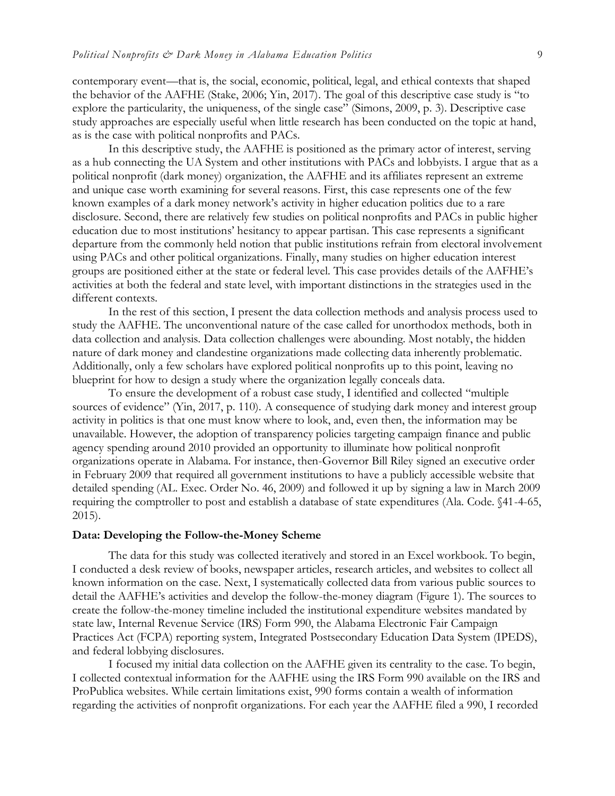contemporary event—that is, the social, economic, political, legal, and ethical contexts that shaped the behavior of the AAFHE (Stake, 2006; Yin, 2017). The goal of this descriptive case study is "to explore the particularity, the uniqueness, of the single case" (Simons, 2009, p. 3). Descriptive case study approaches are especially useful when little research has been conducted on the topic at hand, as is the case with political nonprofits and PACs.

In this descriptive study, the AAFHE is positioned as the primary actor of interest, serving as a hub connecting the UA System and other institutions with PACs and lobbyists. I argue that as a political nonprofit (dark money) organization, the AAFHE and its affiliates represent an extreme and unique case worth examining for several reasons. First, this case represents one of the few known examples of a dark money network's activity in higher education politics due to a rare disclosure. Second, there are relatively few studies on political nonprofits and PACs in public higher education due to most institutions' hesitancy to appear partisan. This case represents a significant departure from the commonly held notion that public institutions refrain from electoral involvement using PACs and other political organizations. Finally, many studies on higher education interest groups are positioned either at the state or federal level. This case provides details of the AAFHE's activities at both the federal and state level, with important distinctions in the strategies used in the different contexts.

In the rest of this section, I present the data collection methods and analysis process used to study the AAFHE. The unconventional nature of the case called for unorthodox methods, both in data collection and analysis. Data collection challenges were abounding. Most notably, the hidden nature of dark money and clandestine organizations made collecting data inherently problematic. Additionally, only a few scholars have explored political nonprofits up to this point, leaving no blueprint for how to design a study where the organization legally conceals data.

To ensure the development of a robust case study, I identified and collected "multiple sources of evidence" (Yin, 2017, p. 110). A consequence of studying dark money and interest group activity in politics is that one must know where to look, and, even then, the information may be unavailable. However, the adoption of transparency policies targeting campaign finance and public agency spending around 2010 provided an opportunity to illuminate how political nonprofit organizations operate in Alabama. For instance, then-Governor Bill Riley signed an executive order in February 2009 that required all government institutions to have a publicly accessible website that detailed spending (AL. Exec. Order No. 46, 2009) and followed it up by signing a law in March 2009 requiring the comptroller to post and establish a database of state expenditures (Ala. Code. §41-4-65, 2015).

#### **Data: Developing the Follow-the-Money Scheme**

The data for this study was collected iteratively and stored in an Excel workbook. To begin, I conducted a desk review of books, newspaper articles, research articles, and websites to collect all known information on the case. Next, I systematically collected data from various public sources to detail the AAFHE's activities and develop the follow-the-money diagram (Figure 1). The sources to create the follow-the-money timeline included the institutional expenditure websites mandated by state law, Internal Revenue Service (IRS) Form 990, the Alabama Electronic Fair Campaign Practices Act (FCPA) reporting system, Integrated Postsecondary Education Data System (IPEDS), and federal lobbying disclosures.

I focused my initial data collection on the AAFHE given its centrality to the case. To begin, I collected contextual information for the AAFHE using the IRS Form 990 available on the IRS and ProPublica websites. While certain limitations exist, 990 forms contain a wealth of information regarding the activities of nonprofit organizations. For each year the AAFHE filed a 990, I recorded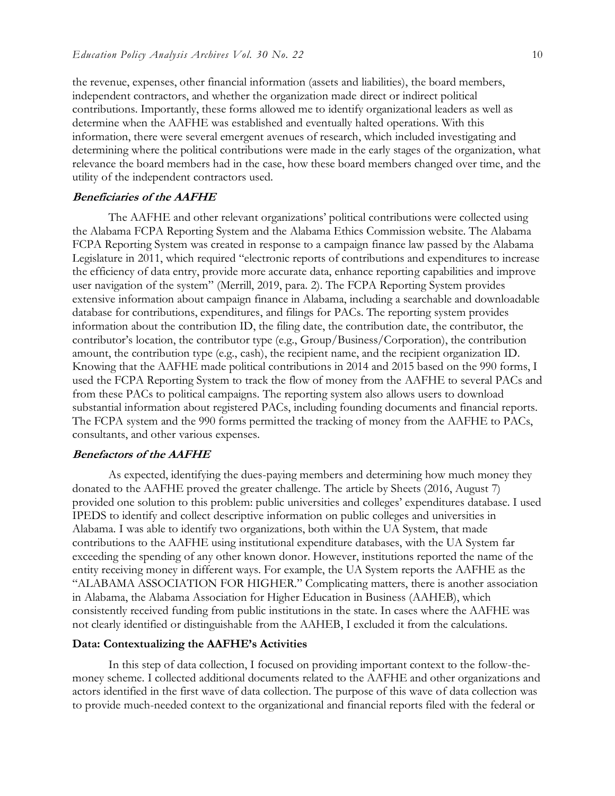the revenue, expenses, other financial information (assets and liabilities), the board members, independent contractors, and whether the organization made direct or indirect political contributions. Importantly, these forms allowed me to identify organizational leaders as well as determine when the AAFHE was established and eventually halted operations. With this information, there were several emergent avenues of research, which included investigating and determining where the political contributions were made in the early stages of the organization, what relevance the board members had in the case, how these board members changed over time, and the utility of the independent contractors used.

#### **Beneficiaries of the AAFHE**

The AAFHE and other relevant organizations' political contributions were collected using the Alabama FCPA Reporting System and the Alabama Ethics Commission website. The Alabama FCPA Reporting System was created in response to a campaign finance law passed by the Alabama Legislature in 2011, which required "electronic reports of contributions and expenditures to increase the efficiency of data entry, provide more accurate data, enhance reporting capabilities and improve user navigation of the system" (Merrill, 2019, para. 2). The FCPA Reporting System provides extensive information about campaign finance in Alabama, including a searchable and downloadable database for contributions, expenditures, and filings for PACs. The reporting system provides information about the contribution ID, the filing date, the contribution date, the contributor, the contributor's location, the contributor type (e.g., Group/Business/Corporation), the contribution amount, the contribution type (e.g., cash), the recipient name, and the recipient organization ID. Knowing that the AAFHE made political contributions in 2014 and 2015 based on the 990 forms, I used the FCPA Reporting System to track the flow of money from the AAFHE to several PACs and from these PACs to political campaigns. The reporting system also allows users to download substantial information about registered PACs, including founding documents and financial reports. The FCPA system and the 990 forms permitted the tracking of money from the AAFHE to PACs, consultants, and other various expenses.

#### **Benefactors of the AAFHE**

As expected, identifying the dues-paying members and determining how much money they donated to the AAFHE proved the greater challenge. The article by Sheets (2016, August 7) provided one solution to this problem: public universities and colleges' expenditures database. I used IPEDS to identify and collect descriptive information on public colleges and universities in Alabama. I was able to identify two organizations, both within the UA System, that made contributions to the AAFHE using institutional expenditure databases, with the UA System far exceeding the spending of any other known donor. However, institutions reported the name of the entity receiving money in different ways. For example, the UA System reports the AAFHE as the "ALABAMA ASSOCIATION FOR HIGHER." Complicating matters, there is another association in Alabama, the Alabama Association for Higher Education in Business (AAHEB), which consistently received funding from public institutions in the state. In cases where the AAFHE was not clearly identified or distinguishable from the AAHEB, I excluded it from the calculations.

#### **Data: Contextualizing the AAFHE's Activities**

In this step of data collection, I focused on providing important context to the follow-themoney scheme. I collected additional documents related to the AAFHE and other organizations and actors identified in the first wave of data collection. The purpose of this wave of data collection was to provide much-needed context to the organizational and financial reports filed with the federal or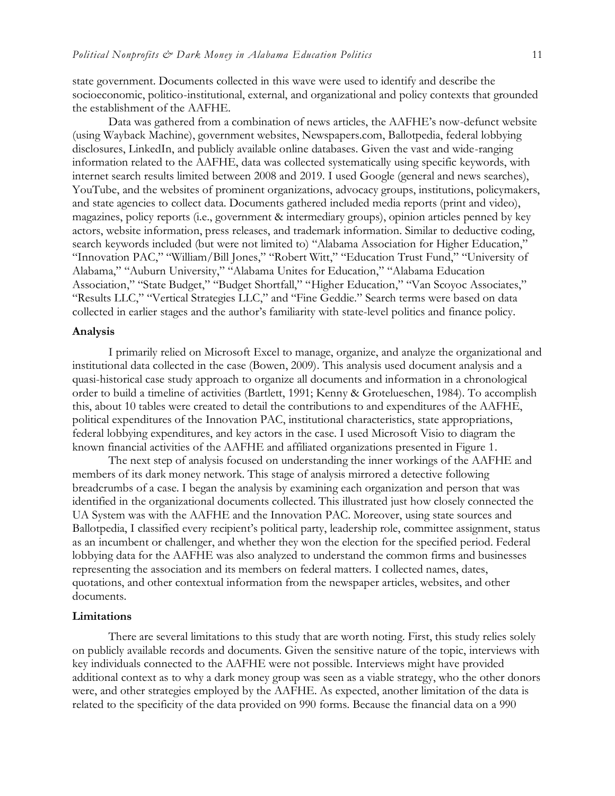state government. Documents collected in this wave were used to identify and describe the socioeconomic, politico-institutional, external, and organizational and policy contexts that grounded the establishment of the AAFHE.

Data was gathered from a combination of news articles, the AAFHE's now-defunct website (using Wayback Machine), government websites, Newspapers.com, Ballotpedia, federal lobbying disclosures, LinkedIn, and publicly available online databases. Given the vast and wide-ranging information related to the AAFHE, data was collected systematically using specific keywords, with internet search results limited between 2008 and 2019. I used Google (general and news searches), YouTube, and the websites of prominent organizations, advocacy groups, institutions, policymakers, and state agencies to collect data. Documents gathered included media reports (print and video), magazines, policy reports (i.e., government & intermediary groups), opinion articles penned by key actors, website information, press releases, and trademark information. Similar to deductive coding, search keywords included (but were not limited to) "Alabama Association for Higher Education," "Innovation PAC," "William/Bill Jones," "Robert Witt," "Education Trust Fund," "University of Alabama," "Auburn University," "Alabama Unites for Education," "Alabama Education Association," "State Budget," "Budget Shortfall," "Higher Education," "Van Scoyoc Associates," "Results LLC," "Vertical Strategies LLC," and "Fine Geddie." Search terms were based on data collected in earlier stages and the author's familiarity with state-level politics and finance policy.

#### **Analysis**

I primarily relied on Microsoft Excel to manage, organize, and analyze the organizational and institutional data collected in the case (Bowen, 2009). This analysis used document analysis and a quasi-historical case study approach to organize all documents and information in a chronological order to build a timeline of activities (Bartlett, 1991; Kenny & Grotelueschen, 1984). To accomplish this, about 10 tables were created to detail the contributions to and expenditures of the AAFHE, political expenditures of the Innovation PAC, institutional characteristics, state appropriations, federal lobbying expenditures, and key actors in the case. I used Microsoft Visio to diagram the known financial activities of the AAFHE and affiliated organizations presented in Figure 1.

The next step of analysis focused on understanding the inner workings of the AAFHE and members of its dark money network. This stage of analysis mirrored a detective following breadcrumbs of a case. I began the analysis by examining each organization and person that was identified in the organizational documents collected. This illustrated just how closely connected the UA System was with the AAFHE and the Innovation PAC. Moreover, using state sources and Ballotpedia, I classified every recipient's political party, leadership role, committee assignment, status as an incumbent or challenger, and whether they won the election for the specified period. Federal lobbying data for the AAFHE was also analyzed to understand the common firms and businesses representing the association and its members on federal matters. I collected names, dates, quotations, and other contextual information from the newspaper articles, websites, and other documents.

#### **Limitations**

There are several limitations to this study that are worth noting. First, this study relies solely on publicly available records and documents. Given the sensitive nature of the topic, interviews with key individuals connected to the AAFHE were not possible. Interviews might have provided additional context as to why a dark money group was seen as a viable strategy, who the other donors were, and other strategies employed by the AAFHE. As expected, another limitation of the data is related to the specificity of the data provided on 990 forms. Because the financial data on a 990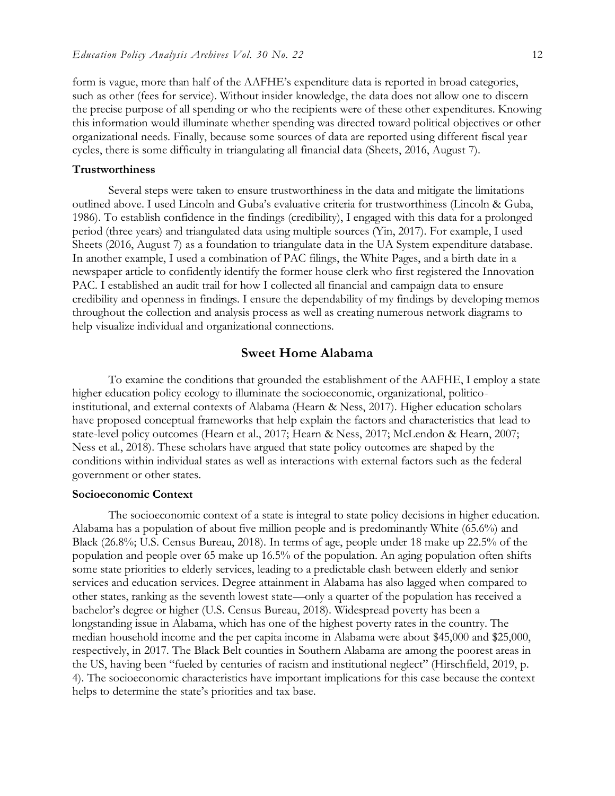form is vague, more than half of the AAFHE's expenditure data is reported in broad categories, such as other (fees for service). Without insider knowledge, the data does not allow one to discern the precise purpose of all spending or who the recipients were of these other expenditures. Knowing this information would illuminate whether spending was directed toward political objectives or other organizational needs. Finally, because some sources of data are reported using different fiscal year cycles, there is some difficulty in triangulating all financial data (Sheets, 2016, August 7).

#### **Trustworthiness**

Several steps were taken to ensure trustworthiness in the data and mitigate the limitations outlined above. I used Lincoln and Guba's evaluative criteria for trustworthiness (Lincoln & Guba, 1986). To establish confidence in the findings (credibility), I engaged with this data for a prolonged period (three years) and triangulated data using multiple sources (Yin, 2017). For example, I used Sheets (2016, August 7) as a foundation to triangulate data in the UA System expenditure database. In another example, I used a combination of PAC filings, the White Pages, and a birth date in a newspaper article to confidently identify the former house clerk who first registered the Innovation PAC. I established an audit trail for how I collected all financial and campaign data to ensure credibility and openness in findings. I ensure the dependability of my findings by developing memos throughout the collection and analysis process as well as creating numerous network diagrams to help visualize individual and organizational connections.

## **Sweet Home Alabama**

To examine the conditions that grounded the establishment of the AAFHE, I employ a state higher education policy ecology to illuminate the socioeconomic, organizational, politicoinstitutional, and external contexts of Alabama (Hearn & Ness, 2017). Higher education scholars have proposed conceptual frameworks that help explain the factors and characteristics that lead to state-level policy outcomes (Hearn et al., 2017; Hearn & Ness, 2017; McLendon & Hearn, 2007; Ness et al., 2018). These scholars have argued that state policy outcomes are shaped by the conditions within individual states as well as interactions with external factors such as the federal government or other states.

#### **Socioeconomic Context**

The socioeconomic context of a state is integral to state policy decisions in higher education. Alabama has a population of about five million people and is predominantly White (65.6%) and Black (26.8%; U.S. Census Bureau, 2018). In terms of age, people under 18 make up 22.5% of the population and people over 65 make up 16.5% of the population. An aging population often shifts some state priorities to elderly services, leading to a predictable clash between elderly and senior services and education services. Degree attainment in Alabama has also lagged when compared to other states, ranking as the seventh lowest state—only a quarter of the population has received a bachelor's degree or higher (U.S. Census Bureau, 2018). Widespread poverty has been a longstanding issue in Alabama, which has one of the highest poverty rates in the country. The median household income and the per capita income in Alabama were about \$45,000 and \$25,000, respectively, in 2017. The Black Belt counties in Southern Alabama are among the poorest areas in the US, having been "fueled by centuries of racism and institutional neglect" (Hirschfield, 2019, p. 4). The socioeconomic characteristics have important implications for this case because the context helps to determine the state's priorities and tax base.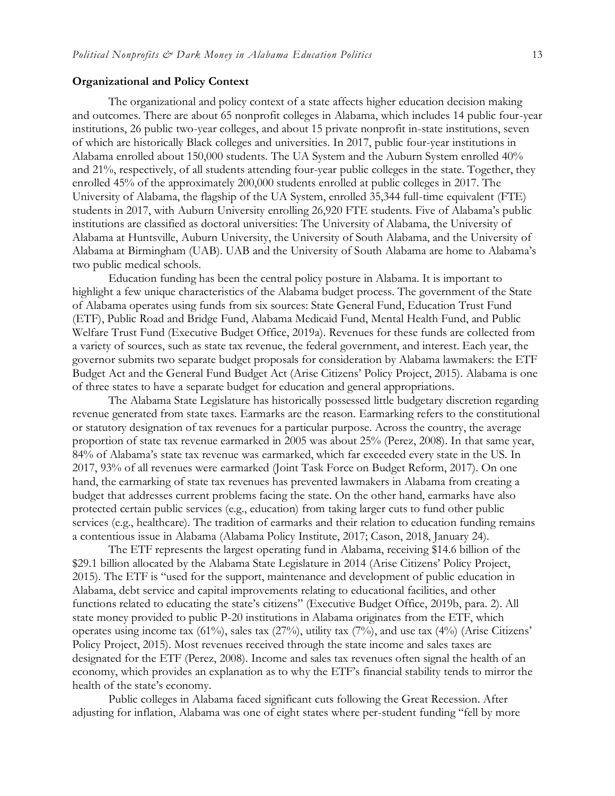#### **Organizational and Policy Context**

The organizational and policy context of a state affects higher education decision making and outcomes. There are about 65 nonprofit colleges in Alabama, which includes 14 public four-year institutions, 26 public two-year colleges, and about 15 private nonprofit in-state institutions, seven of which are historically Black colleges and universities. In 2017, public four-year institutions in Alabama enrolled about 150,000 students. The UA System and the Auburn System enrolled 40% and 21%, respectively, of all students attending four-year public colleges in the state. Together, they enrolled 45% of the approximately 200,000 students enrolled at public colleges in 2017. The University of Alabama, the flagship of the UA System, enrolled 35,344 full-time equivalent (FTE) students in 2017, with Auburn University enrolling 26,920 FTE students. Five of Alabama's public institutions are classified as doctoral universities: The University of Alabama, the University of Alabama at Huntsville, Auburn University, the University of South Alabama, and the University of Alabama at Birmingham (UAB). UAB and the University of South Alabama are home to Alabama's two public medical schools.

Education funding has been the central policy posture in Alabama. It is important to highlight a few unique characteristics of the Alabama budget process. The government of the State of Alabama operates using funds from six sources: State General Fund, Education Trust Fund (ETF), Public Road and Bridge Fund, Alabama Medicaid Fund, Mental Health Fund, and Public Welfare Trust Fund (Executive Budget Office, 2019a). Revenues for these funds are collected from a variety of sources, such as state tax revenue, the federal government, and interest. Each year, the governor submits two separate budget proposals for consideration by Alabama lawmakers: the ETF Budget Act and the General Fund Budget Act (Arise Citizens' Policy Project, 2015). Alabama is one of three states to have a separate budget for education and general appropriations.

The Alabama State Legislature has historically possessed little budgetary discretion regarding revenue generated from state taxes. Earmarks are the reason. Earmarking refers to the constitutional or statutory designation of tax revenues for a particular purpose. Across the country, the average proportion of state tax revenue earmarked in 2005 was about 25% (Perez, 2008). In that same year, 84% of Alabama's state tax revenue was earmarked, which far exceeded every state in the US. In 2017, 93% of all revenues were earmarked (Joint Task Force on Budget Reform, 2017). On one hand, the earmarking of state tax revenues has prevented lawmakers in Alabama from creating a budget that addresses current problems facing the state. On the other hand, earmarks have also protected certain public services (e.g., education) from taking larger cuts to fund other public services (e.g., healthcare). The tradition of earmarks and their relation to education funding remains a contentious issue in Alabama (Alabama Policy Institute, 2017; Cason, 2018, January 24).

The ETF represents the largest operating fund in Alabama, receiving \$14.6 billion of the \$29.1 billion allocated by the Alabama State Legislature in 2014 (Arise Citizens' Policy Project, 2015). The ETF is "used for the support, maintenance and development of public education in Alabama, debt service and capital improvements relating to educational facilities, and other functions related to educating the state's citizens" (Executive Budget Office, 2019b, para. 2). All state money provided to public P-20 institutions in Alabama originates from the ETF, which operates using income tax (61%), sales tax (27%), utility tax (7%), and use tax (4%) (Arise Citizens' Policy Project, 2015). Most revenues received through the state income and sales taxes are designated for the ETF (Perez, 2008). Income and sales tax revenues often signal the health of an economy, which provides an explanation as to why the ETF's financial stability tends to mirror the health of the state's economy.

Public colleges in Alabama faced significant cuts following the Great Recession. After adjusting for inflation, Alabama was one of eight states where per-student funding "fell by more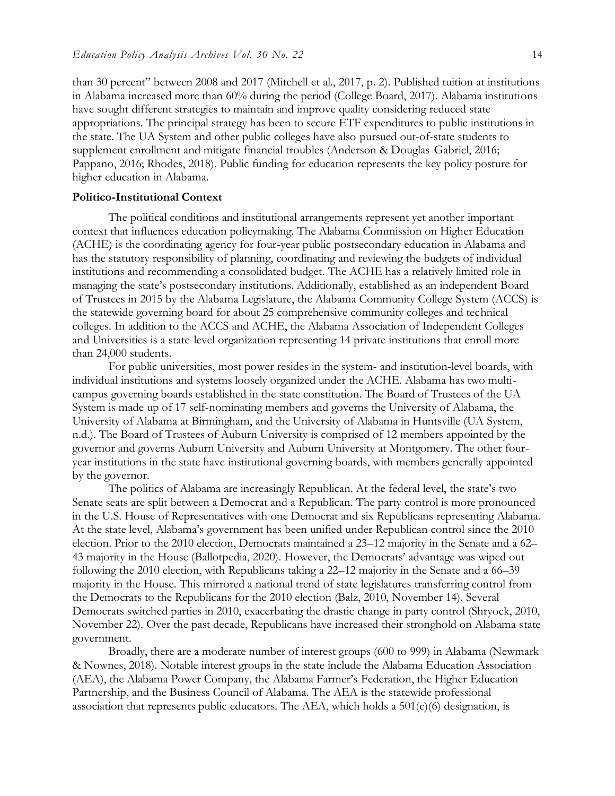than 30 percent" between 2008 and 2017 (Mitchell et al., 2017, p. 2). Published tuition at institutions in Alabama increased more than 60% during the period (College Board, 2017). Alabama institutions have sought different strategies to maintain and improve quality considering reduced state appropriations. The principal strategy has been to secure ETF expenditures to public institutions in the state. The UA System and other public colleges have also pursued out-of-state students to supplement enrollment and mitigate financial troubles (Anderson & Douglas-Gabriel, 2016; Pappano, 2016; Rhodes, 2018). Public funding for education represents the key policy posture for higher education in Alabama.

#### **Politico-Institutional Context**

The political conditions and institutional arrangements represent yet another important context that influences education policymaking. The Alabama Commission on Higher Education (ACHE) is the coordinating agency for four-year public postsecondary education in Alabama and has the statutory responsibility of planning, coordinating and reviewing the budgets of individual institutions and recommending a consolidated budget. The ACHE has a relatively limited role in managing the state's postsecondary institutions. Additionally, established as an independent Board of Trustees in 2015 by the Alabama Legislature, the Alabama Community College System (ACCS) is the statewide governing board for about 25 comprehensive community colleges and technical colleges. In addition to the ACCS and ACHE, the Alabama Association of Independent Colleges and Universities is a state-level organization representing 14 private institutions that enroll more than 24,000 students.

For public universities, most power resides in the system- and institution-level boards, with individual institutions and systems loosely organized under the ACHE. Alabama has two multicampus governing boards established in the state constitution. The Board of Trustees of the UA System is made up of 17 self-nominating members and governs the University of Alabama, the University of Alabama at Birmingham, and the University of Alabama in Huntsville (UA System, n.d.). The Board of Trustees of Auburn University is comprised of 12 members appointed by the governor and governs Auburn University and Auburn University at Montgomery. The other fouryear institutions in the state have institutional governing boards, with members generally appointed by the governor.

The politics of Alabama are increasingly Republican. At the federal level, the state's two Senate seats are split between a Democrat and a Republican. The party control is more pronounced in the U.S. House of Representatives with one Democrat and six Republicans representing Alabama. At the state level, Alabama's government has been unified under Republican control since the 2010 election. Prior to the 2010 election, Democrats maintained a 23–12 majority in the Senate and a 62– 43 majority in the House (Ballotpedia, 2020). However, the Democrats' advantage was wiped out following the 2010 election, with Republicans taking a 22–12 majority in the Senate and a 66–39 majority in the House. This mirrored a national trend of state legislatures transferring control from the Democrats to the Republicans for the 2010 election (Balz, 2010, November 14). Several Democrats switched parties in 2010, exacerbating the drastic change in party control (Shryock, 2010, November 22). Over the past decade, Republicans have increased their stronghold on Alabama state government.

Broadly, there are a moderate number of interest groups (600 to 999) in Alabama (Newmark & Nownes, 2018). Notable interest groups in the state include the Alabama Education Association (AEA), the Alabama Power Company, the Alabama Farmer's Federation, the Higher Education Partnership, and the Business Council of Alabama. The AEA is the statewide professional association that represents public educators. The AEA, which holds a  $501(c)(6)$  designation, is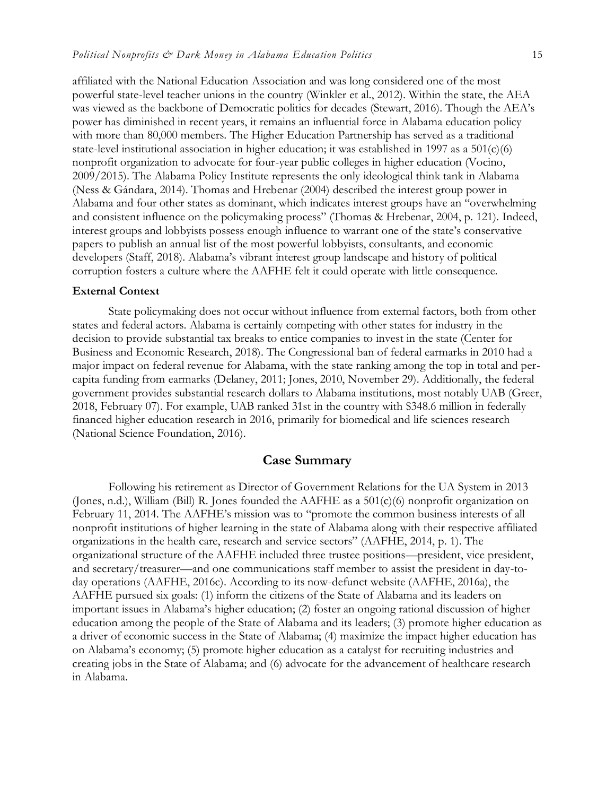affiliated with the National Education Association and was long considered one of the most powerful state-level teacher unions in the country (Winkler et al., 2012). Within the state, the AEA was viewed as the backbone of Democratic politics for decades (Stewart, 2016). Though the AEA's power has diminished in recent years, it remains an influential force in Alabama education policy with more than 80,000 members. The Higher Education Partnership has served as a traditional state-level institutional association in higher education; it was established in 1997 as a 501(c)(6) nonprofit organization to advocate for four-year public colleges in higher education (Vocino, 2009/2015). The Alabama Policy Institute represents the only ideological think tank in Alabama (Ness & Gándara, 2014). Thomas and Hrebenar (2004) described the interest group power in Alabama and four other states as dominant, which indicates interest groups have an "overwhelming and consistent influence on the policymaking process" (Thomas & Hrebenar, 2004, p. 121). Indeed, interest groups and lobbyists possess enough influence to warrant one of the state's conservative papers to publish an annual list of the most powerful lobbyists, consultants, and economic developers (Staff, 2018). Alabama's vibrant interest group landscape and history of political corruption fosters a culture where the AAFHE felt it could operate with little consequence.

#### **External Context**

State policymaking does not occur without influence from external factors, both from other states and federal actors. Alabama is certainly competing with other states for industry in the decision to provide substantial tax breaks to entice companies to invest in the state (Center for Business and Economic Research, 2018). The Congressional ban of federal earmarks in 2010 had a major impact on federal revenue for Alabama, with the state ranking among the top in total and percapita funding from earmarks (Delaney, 2011; Jones, 2010, November 29). Additionally, the federal government provides substantial research dollars to Alabama institutions, most notably UAB (Greer, 2018, February 07). For example, UAB ranked 31st in the country with \$348.6 million in federally financed higher education research in 2016, primarily for biomedical and life sciences research (National Science Foundation, 2016).

### **Case Summary**

Following his retirement as Director of Government Relations for the UA System in 2013 (Jones, n.d.), William (Bill) R. Jones founded the AAFHE as a 501(c)(6) nonprofit organization on February 11, 2014. The AAFHE's mission was to "promote the common business interests of all nonprofit institutions of higher learning in the state of Alabama along with their respective affiliated organizations in the health care, research and service sectors" (AAFHE, 2014, p. 1). The organizational structure of the AAFHE included three trustee positions—president, vice president, and secretary/treasurer—and one communications staff member to assist the president in day-today operations (AAFHE, 2016c). According to its now-defunct website (AAFHE, 2016a), the AAFHE pursued six goals: (1) inform the citizens of the State of Alabama and its leaders on important issues in Alabama's higher education; (2) foster an ongoing rational discussion of higher education among the people of the State of Alabama and its leaders; (3) promote higher education as a driver of economic success in the State of Alabama; (4) maximize the impact higher education has on Alabama's economy; (5) promote higher education as a catalyst for recruiting industries and creating jobs in the State of Alabama; and (6) advocate for the advancement of healthcare research in Alabama.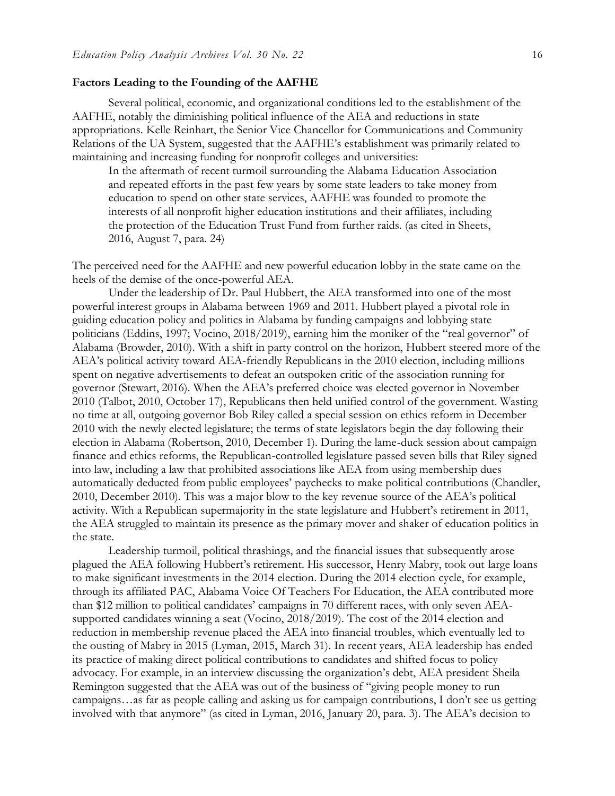#### **Factors Leading to the Founding of the AAFHE**

Several political, economic, and organizational conditions led to the establishment of the AAFHE, notably the diminishing political influence of the AEA and reductions in state appropriations. Kelle Reinhart, the Senior Vice Chancellor for Communications and Community Relations of the UA System, suggested that the AAFHE's establishment was primarily related to maintaining and increasing funding for nonprofit colleges and universities:

In the aftermath of recent turmoil surrounding the Alabama Education Association and repeated efforts in the past few years by some state leaders to take money from education to spend on other state services, AAFHE was founded to promote the interests of all nonprofit higher education institutions and their affiliates, including the protection of the Education Trust Fund from further raids. (as cited in Sheets, 2016, August 7, para. 24)

The perceived need for the AAFHE and new powerful education lobby in the state came on the heels of the demise of the once-powerful AEA.

Under the leadership of Dr. Paul Hubbert, the AEA transformed into one of the most powerful interest groups in Alabama between 1969 and 2011. Hubbert played a pivotal role in guiding education policy and politics in Alabama by funding campaigns and lobbying state politicians (Eddins, 1997; Vocino, 2018/2019), earning him the moniker of the "real governor" of Alabama (Browder, 2010). With a shift in party control on the horizon, Hubbert steered more of the AEA's political activity toward AEA-friendly Republicans in the 2010 election, including millions spent on negative advertisements to defeat an outspoken critic of the association running for governor (Stewart, 2016). When the AEA's preferred choice was elected governor in November 2010 (Talbot, 2010, October 17), Republicans then held unified control of the government. Wasting no time at all, outgoing governor Bob Riley called a special session on ethics reform in December 2010 with the newly elected legislature; the terms of state legislators begin the day following their election in Alabama (Robertson, 2010, December 1). During the lame-duck session about campaign finance and ethics reforms, the Republican-controlled legislature passed seven bills that Riley signed into law, including a law that prohibited associations like AEA from using membership dues automatically deducted from public employees' paychecks to make political contributions (Chandler, 2010, December 2010). This was a major blow to the key revenue source of the AEA's political activity. With a Republican supermajority in the state legislature and Hubbert's retirement in 2011, the AEA struggled to maintain its presence as the primary mover and shaker of education politics in the state.

Leadership turmoil, political thrashings, and the financial issues that subsequently arose plagued the AEA following Hubbert's retirement. His successor, Henry Mabry, took out large loans to make significant investments in the 2014 election. During the 2014 election cycle, for example, through its affiliated PAC, Alabama Voice Of Teachers For Education, the AEA contributed more than \$12 million to political candidates' campaigns in 70 different races, with only seven AEAsupported candidates winning a seat (Vocino, 2018/2019). The cost of the 2014 election and reduction in membership revenue placed the AEA into financial troubles, which eventually led to the ousting of Mabry in 2015 (Lyman, 2015, March 31). In recent years, AEA leadership has ended its practice of making direct political contributions to candidates and shifted focus to policy advocacy. For example, in an interview discussing the organization's debt, AEA president Sheila Remington suggested that the AEA was out of the business of "giving people money to run campaigns…as far as people calling and asking us for campaign contributions, I don't see us getting involved with that anymore" (as cited in Lyman, 2016, January 20, para. 3). The AEA's decision to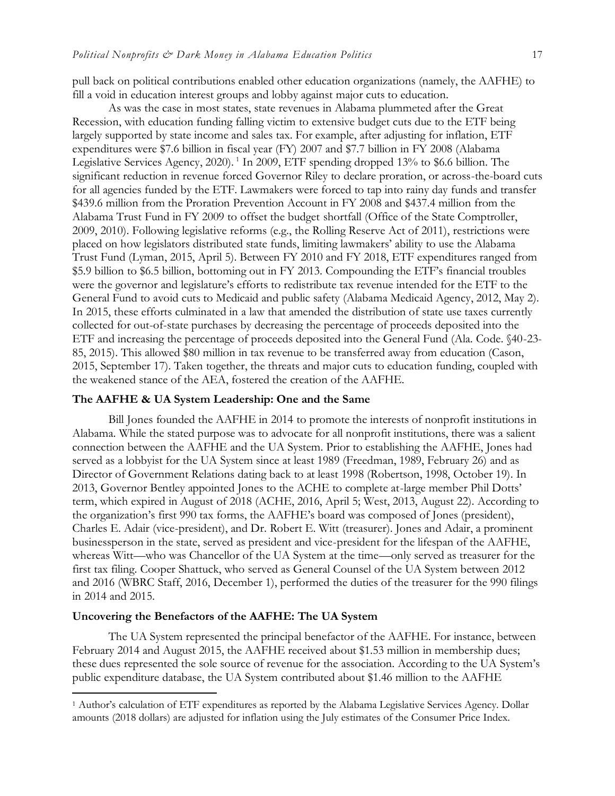pull back on political contributions enabled other education organizations (namely, the AAFHE) to fill a void in education interest groups and lobby against major cuts to education.

As was the case in most states, state revenues in Alabama plummeted after the Great Recession, with education funding falling victim to extensive budget cuts due to the ETF being largely supported by state income and sales tax. For example, after adjusting for inflation, ETF expenditures were \$7.6 billion in fiscal year (FY) 2007 and \$7.7 billion in FY 2008 (Alabama Legislative Services Agency, 2020).<sup>1</sup> In 2009, ETF spending dropped 13% to \$6.6 billion. The significant reduction in revenue forced Governor Riley to declare proration, or across-the-board cuts for all agencies funded by the ETF. Lawmakers were forced to tap into rainy day funds and transfer \$439.6 million from the Proration Prevention Account in FY 2008 and \$437.4 million from the Alabama Trust Fund in FY 2009 to offset the budget shortfall (Office of the State Comptroller, 2009, 2010). Following legislative reforms (e.g., the Rolling Reserve Act of 2011), restrictions were placed on how legislators distributed state funds, limiting lawmakers' ability to use the Alabama Trust Fund (Lyman, 2015, April 5). Between FY 2010 and FY 2018, ETF expenditures ranged from \$5.9 billion to \$6.5 billion, bottoming out in FY 2013. Compounding the ETF's financial troubles were the governor and legislature's efforts to redistribute tax revenue intended for the ETF to the General Fund to avoid cuts to Medicaid and public safety (Alabama Medicaid Agency, 2012, May 2). In 2015, these efforts culminated in a law that amended the distribution of state use taxes currently collected for out-of-state purchases by decreasing the percentage of proceeds deposited into the ETF and increasing the percentage of proceeds deposited into the General Fund (Ala. Code. §40-23- 85, 2015). This allowed \$80 million in tax revenue to be transferred away from education (Cason, 2015, September 17). Taken together, the threats and major cuts to education funding, coupled with the weakened stance of the AEA, fostered the creation of the AAFHE.

#### **The AAFHE & UA System Leadership: One and the Same**

Bill Jones founded the AAFHE in 2014 to promote the interests of nonprofit institutions in Alabama. While the stated purpose was to advocate for all nonprofit institutions, there was a salient connection between the AAFHE and the UA System. Prior to establishing the AAFHE, Jones had served as a lobbyist for the UA System since at least 1989 (Freedman, 1989, February 26) and as Director of Government Relations dating back to at least 1998 (Robertson, 1998, October 19). In 2013, Governor Bentley appointed Jones to the ACHE to complete at-large member Phil Dotts' term, which expired in August of 2018 (ACHE, 2016, April 5; West, 2013, August 22). According to the organization's first 990 tax forms, the AAFHE's board was composed of Jones (president), Charles E. Adair (vice-president), and Dr. Robert E. Witt (treasurer). Jones and Adair, a prominent businessperson in the state, served as president and vice-president for the lifespan of the AAFHE, whereas Witt—who was Chancellor of the UA System at the time—only served as treasurer for the first tax filing. Cooper Shattuck, who served as General Counsel of the UA System between 2012 and 2016 (WBRC Staff, 2016, December 1), performed the duties of the treasurer for the 990 filings in 2014 and 2015.

#### **Uncovering the Benefactors of the AAFHE: The UA System**

 $\ddot{ }$ 

The UA System represented the principal benefactor of the AAFHE. For instance, between February 2014 and August 2015, the AAFHE received about \$1.53 million in membership dues; these dues represented the sole source of revenue for the association. According to the UA System's public expenditure database, the UA System contributed about \$1.46 million to the AAFHE

<sup>1</sup> Author's calculation of ETF expenditures as reported by the Alabama Legislative Services Agency. Dollar amounts (2018 dollars) are adjusted for inflation using the July estimates of the Consumer Price Index.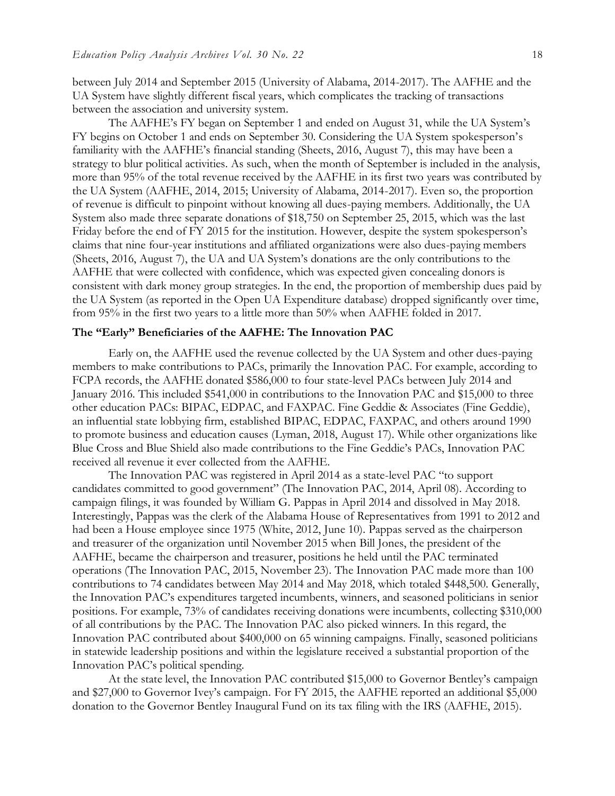between July 2014 and September 2015 (University of Alabama, 2014-2017). The AAFHE and the UA System have slightly different fiscal years, which complicates the tracking of transactions between the association and university system.

The AAFHE's FY began on September 1 and ended on August 31, while the UA System's FY begins on October 1 and ends on September 30. Considering the UA System spokesperson's familiarity with the AAFHE's financial standing (Sheets, 2016, August 7), this may have been a strategy to blur political activities. As such, when the month of September is included in the analysis, more than 95% of the total revenue received by the AAFHE in its first two years was contributed by the UA System (AAFHE, 2014, 2015; University of Alabama, 2014-2017). Even so, the proportion of revenue is difficult to pinpoint without knowing all dues-paying members. Additionally, the UA System also made three separate donations of \$18,750 on September 25, 2015, which was the last Friday before the end of FY 2015 for the institution. However, despite the system spokesperson's claims that nine four-year institutions and affiliated organizations were also dues-paying members (Sheets, 2016, August 7), the UA and UA System's donations are the only contributions to the AAFHE that were collected with confidence, which was expected given concealing donors is consistent with dark money group strategies. In the end, the proportion of membership dues paid by the UA System (as reported in the Open UA Expenditure database) dropped significantly over time, from 95% in the first two years to a little more than 50% when AAFHE folded in 2017.

#### **The "Early" Beneficiaries of the AAFHE: The Innovation PAC**

Early on, the AAFHE used the revenue collected by the UA System and other dues-paying members to make contributions to PACs, primarily the Innovation PAC. For example, according to FCPA records, the AAFHE donated \$586,000 to four state-level PACs between July 2014 and January 2016. This included \$541,000 in contributions to the Innovation PAC and \$15,000 to three other education PACs: BIPAC, EDPAC, and FAXPAC. Fine Geddie & Associates (Fine Geddie), an influential state lobbying firm, established BIPAC, EDPAC, FAXPAC, and others around 1990 to promote business and education causes (Lyman, 2018, August 17). While other organizations like Blue Cross and Blue Shield also made contributions to the Fine Geddie's PACs, Innovation PAC received all revenue it ever collected from the AAFHE.

The Innovation PAC was registered in April 2014 as a state-level PAC "to support candidates committed to good government" (The Innovation PAC, 2014, April 08). According to campaign filings, it was founded by William G. Pappas in April 2014 and dissolved in May 2018. Interestingly, Pappas was the clerk of the Alabama House of Representatives from 1991 to 2012 and had been a House employee since 1975 (White, 2012, June 10). Pappas served as the chairperson and treasurer of the organization until November 2015 when Bill Jones, the president of the AAFHE, became the chairperson and treasurer, positions he held until the PAC terminated operations (The Innovation PAC, 2015, November 23). The Innovation PAC made more than 100 contributions to 74 candidates between May 2014 and May 2018, which totaled \$448,500. Generally, the Innovation PAC's expenditures targeted incumbents, winners, and seasoned politicians in senior positions. For example, 73% of candidates receiving donations were incumbents, collecting \$310,000 of all contributions by the PAC. The Innovation PAC also picked winners. In this regard, the Innovation PAC contributed about \$400,000 on 65 winning campaigns. Finally, seasoned politicians in statewide leadership positions and within the legislature received a substantial proportion of the Innovation PAC's political spending.

At the state level, the Innovation PAC contributed \$15,000 to Governor Bentley's campaign and \$27,000 to Governor Ivey's campaign. For FY 2015, the AAFHE reported an additional \$5,000 donation to the Governor Bentley Inaugural Fund on its tax filing with the IRS (AAFHE, 2015).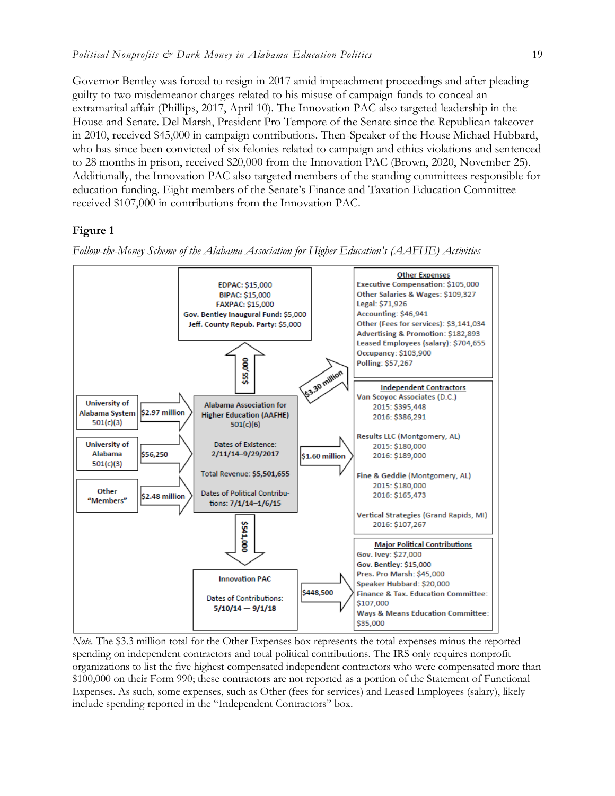Governor Bentley was forced to resign in 2017 amid impeachment proceedings and after pleading guilty to two misdemeanor charges related to his misuse of campaign funds to conceal an extramarital affair (Phillips, 2017, April 10). The Innovation PAC also targeted leadership in the House and Senate. Del Marsh, President Pro Tempore of the Senate since the Republican takeover in 2010, received \$45,000 in campaign contributions. Then-Speaker of the House Michael Hubbard, who has since been convicted of six felonies related to campaign and ethics violations and sentenced to 28 months in prison, received \$20,000 from the Innovation PAC (Brown, 2020, November 25). Additionally, the Innovation PAC also targeted members of the standing committees responsible for education funding. Eight members of the Senate's Finance and Taxation Education Committee received \$107,000 in contributions from the Innovation PAC.

## **Figure 1**

*Follow-the-Money Scheme of the Alabama Association for Higher Education's (AAFHE) Activities*



*Note.* The \$3.3 million total for the Other Expenses box represents the total expenses minus the reported spending on independent contractors and total political contributions. The IRS only requires nonprofit organizations to list the five highest compensated independent contractors who were compensated more than \$100,000 on their Form 990; these contractors are not reported as a portion of the Statement of Functional Expenses. As such, some expenses, such as Other (fees for services) and Leased Employees (salary), likely include spending reported in the "Independent Contractors" box.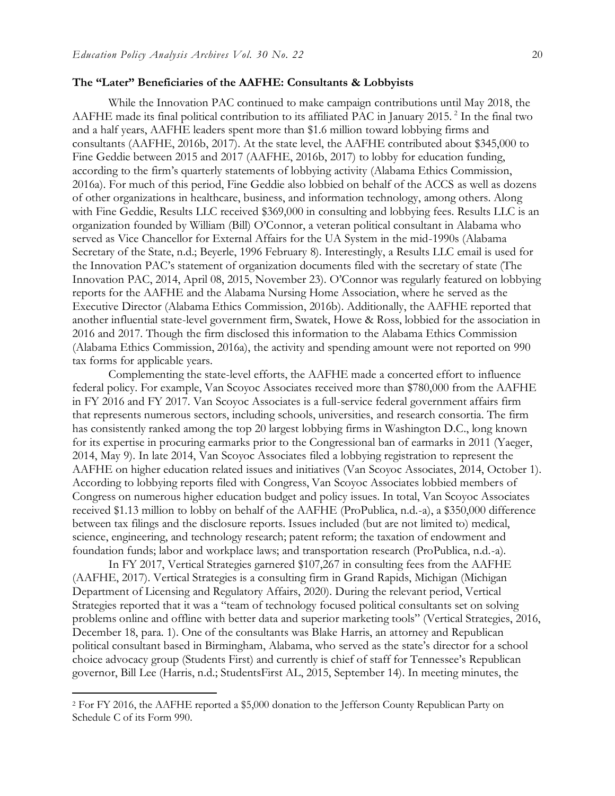#### **The "Later" Beneficiaries of the AAFHE: Consultants & Lobbyists**

While the Innovation PAC continued to make campaign contributions until May 2018, the AAFHE made its final political contribution to its affiliated PAC in January 2015.<sup>2</sup> In the final two and a half years, AAFHE leaders spent more than \$1.6 million toward lobbying firms and consultants (AAFHE, 2016b, 2017). At the state level, the AAFHE contributed about \$345,000 to Fine Geddie between 2015 and 2017 (AAFHE, 2016b, 2017) to lobby for education funding, according to the firm's quarterly statements of lobbying activity (Alabama Ethics Commission, 2016a). For much of this period, Fine Geddie also lobbied on behalf of the ACCS as well as dozens of other organizations in healthcare, business, and information technology, among others. Along with Fine Geddie, Results LLC received \$369,000 in consulting and lobbying fees. Results LLC is an organization founded by William (Bill) O'Connor, a veteran political consultant in Alabama who served as Vice Chancellor for External Affairs for the UA System in the mid-1990s (Alabama Secretary of the State, n.d.; Beyerle, 1996 February 8). Interestingly, a Results LLC email is used for the Innovation PAC's statement of organization documents filed with the secretary of state (The Innovation PAC, 2014, April 08, 2015, November 23). O'Connor was regularly featured on lobbying reports for the AAFHE and the Alabama Nursing Home Association, where he served as the Executive Director (Alabama Ethics Commission, 2016b). Additionally, the AAFHE reported that another influential state-level government firm, Swatek, Howe & Ross, lobbied for the association in 2016 and 2017. Though the firm disclosed this information to the Alabama Ethics Commission (Alabama Ethics Commission, 2016a), the activity and spending amount were not reported on 990 tax forms for applicable years.

Complementing the state-level efforts, the AAFHE made a concerted effort to influence federal policy. For example, Van Scoyoc Associates received more than \$780,000 from the AAFHE in FY 2016 and FY 2017. Van Scoyoc Associates is a full-service federal government affairs firm that represents numerous sectors, including schools, universities, and research consortia. The firm has consistently ranked among the top 20 largest lobbying firms in Washington D.C., long known for its expertise in procuring earmarks prior to the Congressional ban of earmarks in 2011 (Yaeger, 2014, May 9). In late 2014, Van Scoyoc Associates filed a lobbying registration to represent the AAFHE on higher education related issues and initiatives (Van Scoyoc Associates, 2014, October 1). According to lobbying reports filed with Congress, Van Scoyoc Associates lobbied members of Congress on numerous higher education budget and policy issues. In total, Van Scoyoc Associates received \$1.13 million to lobby on behalf of the AAFHE (ProPublica, n.d.-a), a \$350,000 difference between tax filings and the disclosure reports. Issues included (but are not limited to) medical, science, engineering, and technology research; patent reform; the taxation of endowment and foundation funds; labor and workplace laws; and transportation research (ProPublica, n.d.-a).

In FY 2017, Vertical Strategies garnered \$107,267 in consulting fees from the AAFHE (AAFHE, 2017). Vertical Strategies is a consulting firm in Grand Rapids, Michigan (Michigan Department of Licensing and Regulatory Affairs, 2020). During the relevant period, Vertical Strategies reported that it was a "team of technology focused political consultants set on solving problems online and offline with better data and superior marketing tools" (Vertical Strategies, 2016, December 18, para. 1). One of the consultants was Blake Harris, an attorney and Republican political consultant based in Birmingham, Alabama, who served as the state's director for a school choice advocacy group (Students First) and currently is chief of staff for Tennessee's Republican governor, Bill Lee (Harris, n.d.; StudentsFirst AL, 2015, September 14). In meeting minutes, the

 $\ddot{ }$ 

<sup>2</sup> For FY 2016, the AAFHE reported a \$5,000 donation to the Jefferson County Republican Party on Schedule C of its Form 990.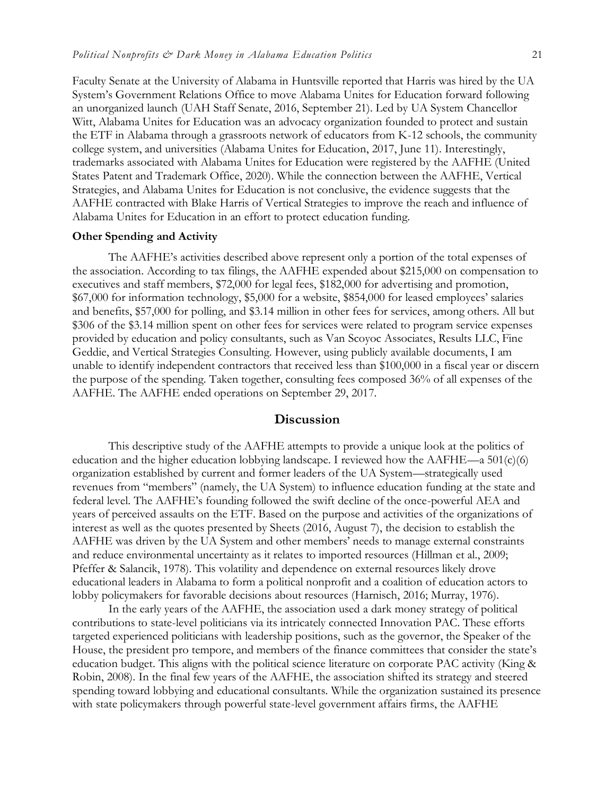Faculty Senate at the University of Alabama in Huntsville reported that Harris was hired by the UA System's Government Relations Office to move Alabama Unites for Education forward following an unorganized launch (UAH Staff Senate, 2016, September 21). Led by UA System Chancellor Witt, Alabama Unites for Education was an advocacy organization founded to protect and sustain the ETF in Alabama through a grassroots network of educators from K-12 schools, the community college system, and universities (Alabama Unites for Education, 2017, June 11). Interestingly, trademarks associated with Alabama Unites for Education were registered by the AAFHE (United States Patent and Trademark Office, 2020). While the connection between the AAFHE, Vertical Strategies, and Alabama Unites for Education is not conclusive, the evidence suggests that the AAFHE contracted with Blake Harris of Vertical Strategies to improve the reach and influence of Alabama Unites for Education in an effort to protect education funding.

#### **Other Spending and Activity**

The AAFHE's activities described above represent only a portion of the total expenses of the association. According to tax filings, the AAFHE expended about \$215,000 on compensation to executives and staff members, \$72,000 for legal fees, \$182,000 for advertising and promotion, \$67,000 for information technology, \$5,000 for a website, \$854,000 for leased employees' salaries and benefits, \$57,000 for polling, and \$3.14 million in other fees for services, among others. All but \$306 of the \$3.14 million spent on other fees for services were related to program service expenses provided by education and policy consultants, such as Van Scoyoc Associates, Results LLC, Fine Geddie, and Vertical Strategies Consulting. However, using publicly available documents, I am unable to identify independent contractors that received less than \$100,000 in a fiscal year or discern the purpose of the spending. Taken together, consulting fees composed 36% of all expenses of the AAFHE. The AAFHE ended operations on September 29, 2017.

## **Discussion**

This descriptive study of the AAFHE attempts to provide a unique look at the politics of education and the higher education lobbying landscape. I reviewed how the AAFHE—a  $501(c)(6)$ organization established by current and former leaders of the UA System—strategically used revenues from "members" (namely, the UA System) to influence education funding at the state and federal level. The AAFHE's founding followed the swift decline of the once-powerful AEA and years of perceived assaults on the ETF. Based on the purpose and activities of the organizations of interest as well as the quotes presented by Sheets (2016, August 7), the decision to establish the AAFHE was driven by the UA System and other members' needs to manage external constraints and reduce environmental uncertainty as it relates to imported resources (Hillman et al., 2009; Pfeffer & Salancik, 1978). This volatility and dependence on external resources likely drove educational leaders in Alabama to form a political nonprofit and a coalition of education actors to lobby policymakers for favorable decisions about resources (Harnisch, 2016; Murray, 1976).

In the early years of the AAFHE, the association used a dark money strategy of political contributions to state-level politicians via its intricately connected Innovation PAC. These efforts targeted experienced politicians with leadership positions, such as the governor, the Speaker of the House, the president pro tempore, and members of the finance committees that consider the state's education budget. This aligns with the political science literature on corporate PAC activity (King & Robin, 2008). In the final few years of the AAFHE, the association shifted its strategy and steered spending toward lobbying and educational consultants. While the organization sustained its presence with state policymakers through powerful state-level government affairs firms, the AAFHE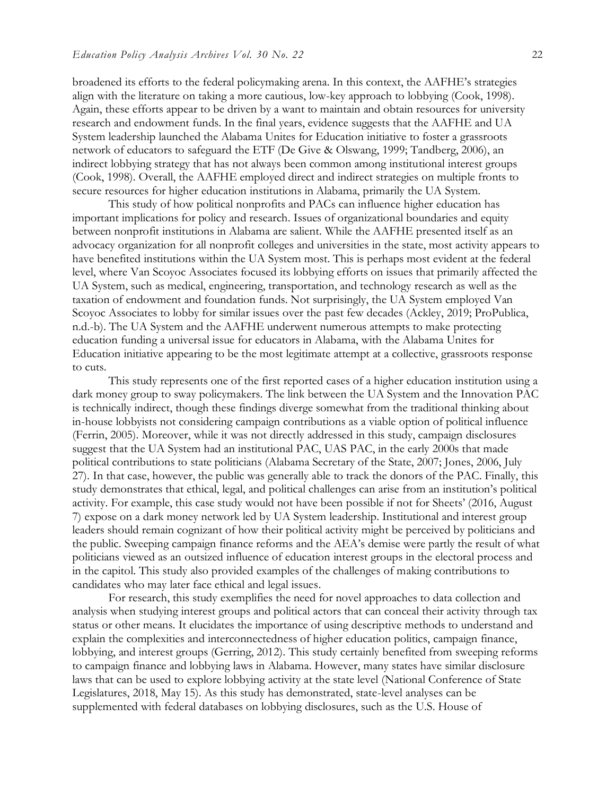broadened its efforts to the federal policymaking arena. In this context, the AAFHE's strategies align with the literature on taking a more cautious, low-key approach to lobbying (Cook, 1998). Again, these efforts appear to be driven by a want to maintain and obtain resources for university research and endowment funds. In the final years, evidence suggests that the AAFHE and UA System leadership launched the Alabama Unites for Education initiative to foster a grassroots network of educators to safeguard the ETF (De Give & Olswang, 1999; Tandberg, 2006), an indirect lobbying strategy that has not always been common among institutional interest groups (Cook, 1998). Overall, the AAFHE employed direct and indirect strategies on multiple fronts to secure resources for higher education institutions in Alabama, primarily the UA System.

This study of how political nonprofits and PACs can influence higher education has important implications for policy and research. Issues of organizational boundaries and equity between nonprofit institutions in Alabama are salient. While the AAFHE presented itself as an advocacy organization for all nonprofit colleges and universities in the state, most activity appears to have benefited institutions within the UA System most. This is perhaps most evident at the federal level, where Van Scoyoc Associates focused its lobbying efforts on issues that primarily affected the UA System, such as medical, engineering, transportation, and technology research as well as the taxation of endowment and foundation funds. Not surprisingly, the UA System employed Van Scoyoc Associates to lobby for similar issues over the past few decades (Ackley, 2019; ProPublica, n.d.-b). The UA System and the AAFHE underwent numerous attempts to make protecting education funding a universal issue for educators in Alabama, with the Alabama Unites for Education initiative appearing to be the most legitimate attempt at a collective, grassroots response to cuts.

This study represents one of the first reported cases of a higher education institution using a dark money group to sway policymakers. The link between the UA System and the Innovation PAC is technically indirect, though these findings diverge somewhat from the traditional thinking about in-house lobbyists not considering campaign contributions as a viable option of political influence (Ferrin, 2005). Moreover, while it was not directly addressed in this study, campaign disclosures suggest that the UA System had an institutional PAC, UAS PAC, in the early 2000s that made political contributions to state politicians (Alabama Secretary of the State, 2007; Jones, 2006, July 27). In that case, however, the public was generally able to track the donors of the PAC. Finally, this study demonstrates that ethical, legal, and political challenges can arise from an institution's political activity. For example, this case study would not have been possible if not for Sheets' (2016, August 7) expose on a dark money network led by UA System leadership. Institutional and interest group leaders should remain cognizant of how their political activity might be perceived by politicians and the public. Sweeping campaign finance reforms and the AEA's demise were partly the result of what politicians viewed as an outsized influence of education interest groups in the electoral process and in the capitol. This study also provided examples of the challenges of making contributions to candidates who may later face ethical and legal issues.

For research, this study exemplifies the need for novel approaches to data collection and analysis when studying interest groups and political actors that can conceal their activity through tax status or other means. It elucidates the importance of using descriptive methods to understand and explain the complexities and interconnectedness of higher education politics, campaign finance, lobbying, and interest groups (Gerring, 2012). This study certainly benefited from sweeping reforms to campaign finance and lobbying laws in Alabama. However, many states have similar disclosure laws that can be used to explore lobbying activity at the state level (National Conference of State Legislatures, 2018, May 15). As this study has demonstrated, state-level analyses can be supplemented with federal databases on lobbying disclosures, such as the U.S. House of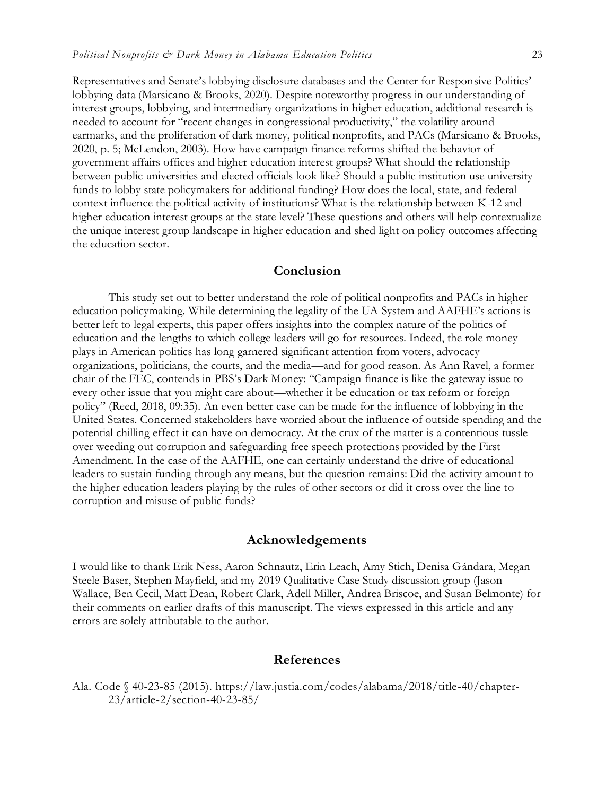Representatives and Senate's lobbying disclosure databases and the Center for Responsive Politics' lobbying data (Marsicano & Brooks, 2020). Despite noteworthy progress in our understanding of interest groups, lobbying, and intermediary organizations in higher education, additional research is needed to account for "recent changes in congressional productivity," the volatility around earmarks, and the proliferation of dark money, political nonprofits, and PACs (Marsicano & Brooks, 2020, p. 5; McLendon, 2003). How have campaign finance reforms shifted the behavior of government affairs offices and higher education interest groups? What should the relationship between public universities and elected officials look like? Should a public institution use university funds to lobby state policymakers for additional funding? How does the local, state, and federal context influence the political activity of institutions? What is the relationship between K-12 and higher education interest groups at the state level? These questions and others will help contextualize the unique interest group landscape in higher education and shed light on policy outcomes affecting the education sector.

## **Conclusion**

This study set out to better understand the role of political nonprofits and PACs in higher education policymaking. While determining the legality of the UA System and AAFHE's actions is better left to legal experts, this paper offers insights into the complex nature of the politics of education and the lengths to which college leaders will go for resources. Indeed, the role money plays in American politics has long garnered significant attention from voters, advocacy organizations, politicians, the courts, and the media—and for good reason. As Ann Ravel, a former chair of the FEC, contends in PBS's Dark Money: "Campaign finance is like the gateway issue to every other issue that you might care about—whether it be education or tax reform or foreign policy" (Reed, 2018, 09:35). An even better case can be made for the influence of lobbying in the United States. Concerned stakeholders have worried about the influence of outside spending and the potential chilling effect it can have on democracy. At the crux of the matter is a contentious tussle over weeding out corruption and safeguarding free speech protections provided by the First Amendment. In the case of the AAFHE, one can certainly understand the drive of educational leaders to sustain funding through any means, but the question remains: Did the activity amount to the higher education leaders playing by the rules of other sectors or did it cross over the line to corruption and misuse of public funds?

## **Acknowledgements**

I would like to thank Erik Ness, Aaron Schnautz, Erin Leach, Amy Stich, Denisa Gándara, Megan Steele Baser, Stephen Mayfield, and my 2019 Qualitative Case Study discussion group (Jason Wallace, Ben Cecil, Matt Dean, Robert Clark, Adell Miller, Andrea Briscoe, and Susan Belmonte) for their comments on earlier drafts of this manuscript. The views expressed in this article and any errors are solely attributable to the author.

## **References**

Ala. Code § 40-23-85 (2015). https://law.justia.com/codes/alabama/2018/title-40/chapter-23/article-2/section-40-23-85/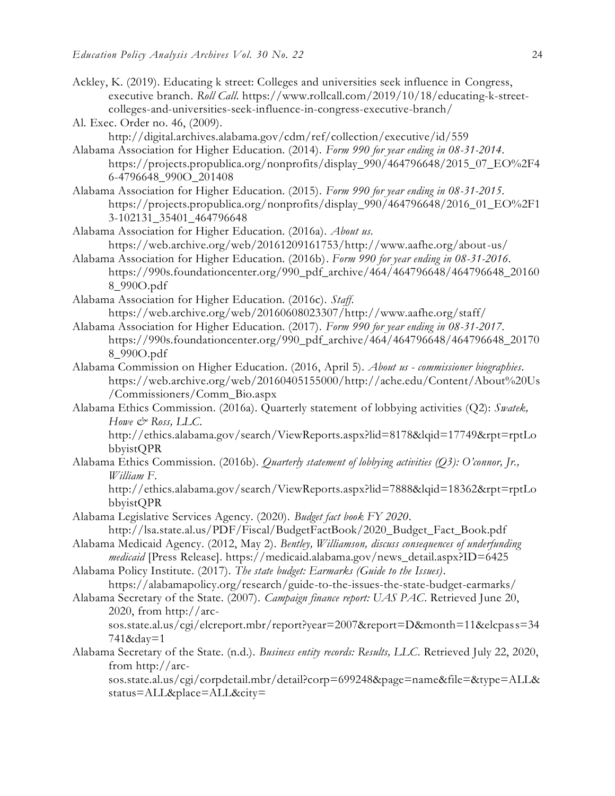- Ackley, K. (2019). Educating k street: Colleges and universities seek influence in Congress, executive branch. *Roll Call*. https://www.rollcall.com/2019/10/18/educating-k-streetcolleges-and-universities-seek-influence-in-congress-executive-branch/
- Al. Exec. Order no. 46, (2009).
	- http://digital.archives.alabama.gov/cdm/ref/collection/executive/id/559
- Alabama Association for Higher Education. (2014). *Form 990 for year ending in 08-31-2014*. https://projects.propublica.org/nonprofits/display\_990/464796648/2015\_07\_EO%2F4 6-4796648\_990O\_201408
- Alabama Association for Higher Education. (2015). *Form 990 for year ending in 08-31-2015*. https://projects.propublica.org/nonprofits/display\_990/464796648/2016\_01\_EO%2F1 3-102131\_35401\_464796648
- Alabama Association for Higher Education. (2016a). *About us*. https://web.archive.org/web/20161209161753/http://www.aafhe.org/about-us/
- Alabama Association for Higher Education. (2016b). *Form 990 for year ending in 08-31-2016*. https://990s.foundationcenter.org/990\_pdf\_archive/464/464796648/464796648\_20160 8\_990O.pdf
- Alabama Association for Higher Education. (2016c). *Staff*. https://web.archive.org/web/20160608023307/http://www.aafhe.org/staff/
- Alabama Association for Higher Education. (2017). *Form 990 for year ending in 08-31-2017*. https://990s.foundationcenter.org/990\_pdf\_archive/464/464796648/464796648\_20170 8\_990O.pdf
- Alabama Commission on Higher Education. (2016, April 5). *About us - commissioner biographies*. https://web.archive.org/web/20160405155000/http://ache.edu/Content/About%20Us /Commissioners/Comm\_Bio.aspx
- Alabama Ethics Commission. (2016a). Quarterly statement of lobbying activities (Q2): *Swatek, Howe & Ross, LLC*.

http://ethics.alabama.gov/search/ViewReports.aspx?lid=8178&lqid=17749&rpt=rptLo bbyistQPR

Alabama Ethics Commission. (2016b). *Quarterly statement of lobbying activities (Q3): O'connor, Jr., William F*.

http://ethics.alabama.gov/search/ViewReports.aspx?lid=7888&lqid=18362&rpt=rptLo bbyistQPR

- Alabama Legislative Services Agency. (2020). *Budget fact book FY 2020*. http://lsa.state.al.us/PDF/Fiscal/BudgetFactBook/2020\_Budget\_Fact\_Book.pdf
- Alabama Medicaid Agency. (2012, May 2). *Bentley, Williamson, discuss consequences of underfunding medicaid* [Press Release]. https://medicaid.alabama.gov/news\_detail.aspx?ID=6425

Alabama Policy Institute. (2017). *The state budget: Earmarks (Guide to the Issues)*.

https://alabamapolicy.org/research/guide-to-the-issues-the-state-budget-earmarks/ Alabama Secretary of the State. (2007). *Campaign finance report: UAS PAC*. Retrieved June 20,

2020, from http://arcsos.state.al.us/cgi/elcreport.mbr/report?year=2007&report=D&month=11&elcpass=34 741&day=1

Alabama Secretary of the State. (n.d.). *Business entity records: Results, LLC*. Retrieved July 22, 2020, from http://arc-

sos.state.al.us/cgi/corpdetail.mbr/detail?corp=699248&page=name&file=&type=ALL& status=ALL&place=ALL&city=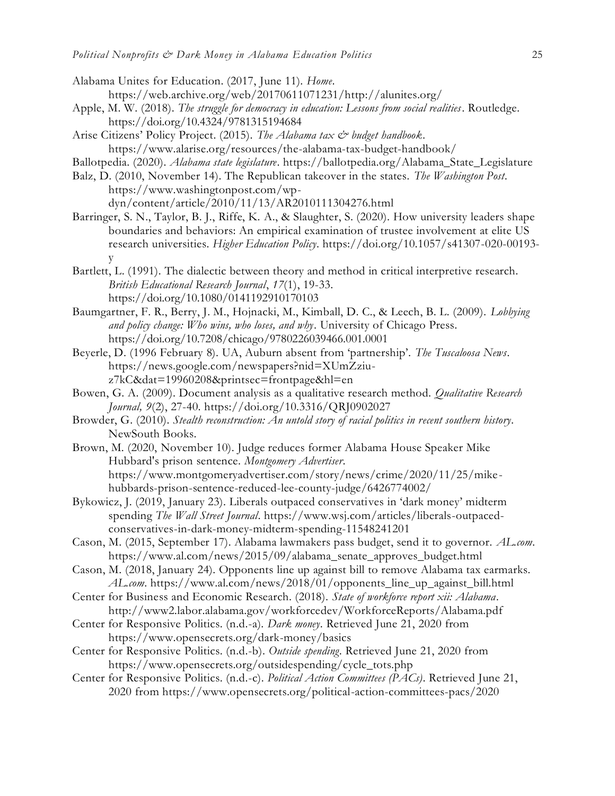- Alabama Unites for Education. (2017, June 11). *Home*. https://web.archive.org/web/20170611071231/http://alunites.org/
- Apple, M. W. (2018). *The struggle for democracy in education: Lessons from social realities*. Routledge. <https://doi.org/10.4324/9781315194684>
- Arise Citizens' Policy Project. (2015). *The Alabama tax & budget handbook*. https://www.alarise.org/resources/the-alabama-tax-budget-handbook/
- Ballotpedia. (2020). *Alabama state legislature*. https://ballotpedia.org/Alabama\_State\_Legislature
- Balz, D. (2010, November 14). The Republican takeover in the states. *The Washington Post*. https://www.washingtonpost.com/wpdyn/content/article/2010/11/13/AR2010111304276.html
- Barringer, S. N., Taylor, B. J., Riffe, K. A., & Slaughter, S. (2020). How university leaders shape boundaries and behaviors: An empirical examination of trustee involvement at elite US research universities. *Higher Education Policy*. [https://doi.org/10.1057/s41307-020-00193](https://doi.org/10.1057/s41307-020-00193-y) [y](https://doi.org/10.1057/s41307-020-00193-y)
- Bartlett, L. (1991). The dialectic between theory and method in critical interpretive research. *British Educational Research Journal*, *17*(1), 19-33. <https://doi.org/10.1080/0141192910170103>
- Baumgartner, F. R., Berry, J. M., Hojnacki, M., Kimball, D. C., & Leech, B. L. (2009). *Lobbying and policy change: Who wins, who loses, and why*. University of Chicago Press. <https://doi.org/10.7208/chicago/9780226039466.001.0001>
- Beyerle, D. (1996 February 8). UA, Auburn absent from 'partnership'. *The Tuscaloosa News*. https://news.google.com/newspapers?nid=XUmZziuz7kC&dat=19960208&printsec=frontpage&hl=en
- Bowen, G. A. (2009). Document analysis as a qualitative research method. *Qualitative Research Journal, 9*(2), 27-40. https://doi.org/10.3316/QRJ0902027
- Browder, G. (2010). *Stealth reconstruction: An untold story of racial politics in recent southern history*. NewSouth Books.
- Brown, M. (2020, November 10). Judge reduces former Alabama House Speaker Mike Hubbard's prison sentence. *Montgomery Advertiser*. [https://www.montgomeryadvertiser.com/story/news/crime/2020/11/25/mike](https://www.montgomeryadvertiser.com/story/news/crime/2020/11/25/mike-hubbards-prison-sentence-reduced-lee-county-judge/6426774002/)[hubbards-prison-sentence-reduced-lee-county-judge/6426774002/](https://www.montgomeryadvertiser.com/story/news/crime/2020/11/25/mike-hubbards-prison-sentence-reduced-lee-county-judge/6426774002/)
- Bykowicz, J. (2019, January 23). Liberals outpaced conservatives in 'dark money' midterm spending *The Wall Street Journal*. https://www.wsj.com/articles/liberals-outpacedconservatives-in-dark-money-midterm-spending-11548241201
- Cason, M. (2015, September 17). Alabama lawmakers pass budget, send it to governor. *AL.com*. https://www.al.com/news/2015/09/alabama\_senate\_approves\_budget.html
- Cason, M. (2018, January 24). Opponents line up against bill to remove Alabama tax earmarks. *AL.com*. https://www.al.com/news/2018/01/opponents\_line\_up\_against\_bill.html
- Center for Business and Economic Research. (2018). *State of workforce report xii: Alabama*. http://www2.labor.alabama.gov/workforcedev/WorkforceReports/Alabama.pdf
- Center for Responsive Politics. (n.d.-a). *Dark money*. Retrieved June 21, 2020 from https://www.opensecrets.org/dark-money/basics
- Center for Responsive Politics. (n.d.-b). *Outside spending*. Retrieved June 21, 2020 from https://www.opensecrets.org/outsidespending/cycle\_tots.php
- Center for Responsive Politics. (n.d.-c). *Political Action Committees (PACs)*. Retrieved June 21, 2020 from https://www.opensecrets.org/political-action-committees-pacs/2020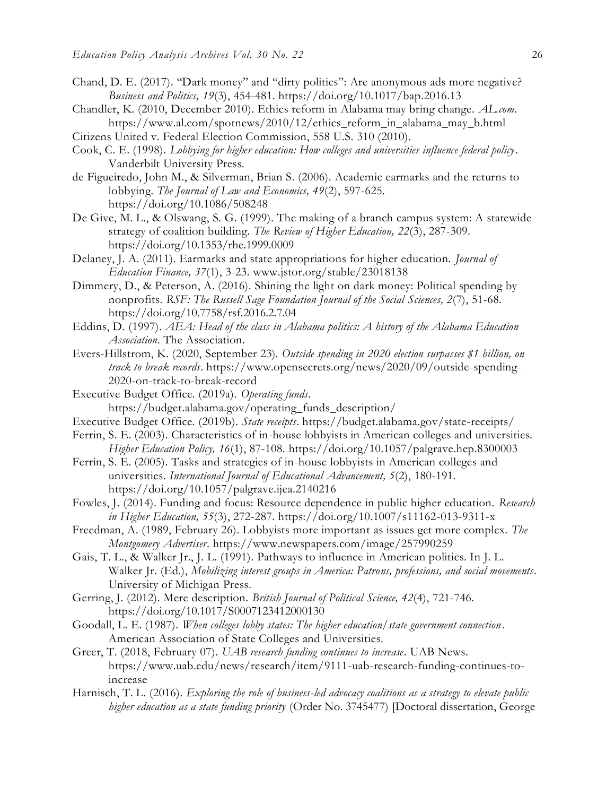- Chand, D. E. (2017). "Dark money" and "dirty politics": Are anonymous ads more negative? *Business and Politics, 19*(3), 454-481. https://doi.org/10.1017/bap.2016.13
- Chandler, K. (2010, December 2010). Ethics reform in Alabama may bring change. *AL.com*. https://www.al.com/spotnews/2010/12/ethics\_reform\_in\_alabama\_may\_b.html
- Citizens United v. Federal Election Commission, 558 U.S. 310 (2010).
- Cook, C. E. (1998). *Lobbying for higher education: How colleges and universities influence federal policy*. Vanderbilt University Press.
- de Figueiredo, John M., & Silverman, Brian S. (2006). Academic earmarks and the returns to lobbying. *The Journal of Law and Economics, 49*(2), 597-625. <https://doi.org/10.1086/508248>
- De Give, M. L., & Olswang, S. G. (1999). The making of a branch campus system: A statewide strategy of coalition building. *The Review of Higher Education, 22*(3), 287-309. <https://doi.org/10.1353/rhe.1999.0009>
- Delaney, J. A. (2011). Earmarks and state appropriations for higher education. *Journal of Education Finance, 37*(1), 3-23. www.jstor.org/stable/23018138
- Dimmery, D., & Peterson, A. (2016). Shining the light on dark money: Political spending by nonprofits. *RSF: The Russell Sage Foundation Journal of the Social Sciences, 2*(7), 51-68. <https://doi.org/10.7758/rsf.2016.2.7.04>
- Eddins, D. (1997). *AEA: Head of the class in Alabama politics: A history of the Alabama Education Association*. The Association.
- Evers-Hillstrom, K. (2020, September 23). *Outside spending in 2020 election surpasses \$1 billion, on track to break records*. https://www.opensecrets.org/news/2020/09/outside-spending-2020-on-track-to-break-record
- Executive Budget Office. (2019a). *Operating funds*. https://budget.alabama.gov/operating\_funds\_description/
- Executive Budget Office. (2019b). *State receipts*. https://budget.alabama.gov/state-receipts/
- Ferrin, S. E. (2003). Characteristics of in-house lobbyists in American colleges and universities. *Higher Education Policy, 16*(1), 87-108. https://doi.org/10.1057/palgrave.hep.8300003
- Ferrin, S. E. (2005). Tasks and strategies of in-house lobbyists in American colleges and universities. *International Journal of Educational Advancement, 5*(2), 180-191. https://doi.org/10.1057/palgrave.ijea.2140216
- Fowles, J. (2014). Funding and focus: Resource dependence in public higher education. *Research in Higher Education, 55*(3), 272-287. https://doi.org/10.1007/s11162-013-9311-x
- Freedman, A. (1989, February 26). Lobbyists more important as issues get more complex. *The Montgomery Advertiser*. https://www.newspapers.com/image/257990259
- Gais, T. L., & Walker Jr., J. L. (1991). Pathways to influence in American politics. In J. L. Walker Jr. (Ed.), *Mobilizing interest groups in America: Patrons, professions, and social movements*. University of Michigan Press.
- Gerring, J. (2012). Mere description. *British Journal of Political Science, 42*(4), 721-746. <https://doi.org/10.1017/S0007123412000130>
- Goodall, L. E. (1987). *When colleges lobby states: The higher education/state government connection*. American Association of State Colleges and Universities.
- Greer, T. (2018, February 07). *UAB research funding continues to increase.* UAB News. https://www.uab.edu/news/research/item/9111-uab-research-funding-continues-toincrease
- Harnisch, T. L. (2016). *Exploring the role of business-led advocacy coalitions as a strategy to elevate public higher education as a state funding priority* (Order No. 3745477) [Doctoral dissertation, George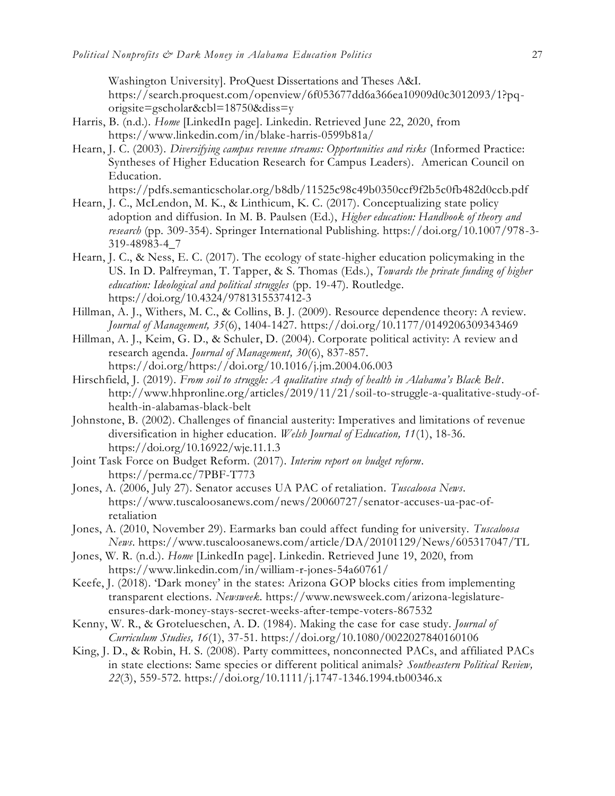Washington University]. ProQuest Dissertations and Theses A&I. https://search.proquest.com/openview/6f053677dd6a366ea10909d0c3012093/1?pqorigsite=gscholar&cbl=18750&diss=y

- Harris, B. (n.d.). *Home* [LinkedIn page]. Linkedin. Retrieved June 22, 2020, from https://www.linkedin.com/in/blake-harris-0599b81a/
- Hearn, J. C. (2003). *Diversifying campus revenue streams: Opportunities and risks* (Informed Practice: Syntheses of Higher Education Research for Campus Leaders). American Council on Education.

https://pdfs.semanticscholar.org/b8db/11525c98c49b0350ccf9f2b5c0fb482d0ccb.pdf

- Hearn, J. C., McLendon, M. K., & Linthicum, K. C. (2017). Conceptualizing state policy adoption and diffusion. In M. B. Paulsen (Ed.), *Higher education: Handbook of theory and research* (pp. 309-354). Springer International Publishing. https://doi.org/10.1007/978-3- 319-48983-4\_7
- Hearn, J. C., & Ness, E. C. (2017). The ecology of state-higher education policymaking in the US. In D. Palfreyman, T. Tapper, & S. Thomas (Eds.), *Towards the private funding of higher education: Ideological and political struggles* (pp. 19-47). Routledge. <https://doi.org/10.4324/9781315537412-3>
- Hillman, A. J., Withers, M. C., & Collins, B. J. (2009). Resource dependence theory: A review. *Journal of Management, 35*(6), 1404-1427. https://doi.org/10.1177/0149206309343469
- Hillman, A. J., Keim, G. D., & Schuler, D. (2004). Corporate political activity: A review and research agenda. *Journal of Management, 30*(6), 837-857. https://doi.org/https://doi.org/10.1016/j.jm.2004.06.003
- Hirschfield, J. (2019). *From soil to struggle: A qualitative study of health in Alabama's Black Belt*. http://www.hhpronline.org/articles/2019/11/21/soil-to-struggle-a-qualitative-study-ofhealth-in-alabamas-black-belt
- Johnstone, B. (2002). Challenges of financial austerity: Imperatives and limitations of revenue diversification in higher education. *Welsh Journal of Education, 11*(1), 18-36. <https://doi.org/10.16922/wje.11.1.3>
- Joint Task Force on Budget Reform. (2017). *Interim report on budget reform*. https://perma.cc/7PBF-T773
- Jones, A. (2006, July 27). Senator accuses UA PAC of retaliation. *Tuscaloosa News*. https://www.tuscaloosanews.com/news/20060727/senator-accuses-ua-pac-ofretaliation
- Jones, A. (2010, November 29). Earmarks ban could affect funding for university. *Tuscaloosa News*. https://www.tuscaloosanews.com/article/DA/20101129/News/605317047/TL
- Jones, W. R. (n.d.). *Home* [LinkedIn page]. Linkedin. Retrieved June 19, 2020, from https://www.linkedin.com/in/william-r-jones-54a60761/
- Keefe, J. (2018). 'Dark money' in the states: Arizona GOP blocks cities from implementing transparent elections. *Newsweek*. https://www.newsweek.com/arizona-legislatureensures-dark-money-stays-secret-weeks-after-tempe-voters-867532
- Kenny, W. R., & Grotelueschen, A. D. (1984). Making the case for case study. *Journal of Curriculum Studies, 16*(1), 37-51. https://doi.org/10.1080/0022027840160106
- King, J. D., & Robin, H. S. (2008). Party committees, nonconnected PACs, and affiliated PACs in state elections: Same species or different political animals? *Southeastern Political Review, 22*(3), 559-572. https://doi.org/10.1111/j.1747-1346.1994.tb00346.x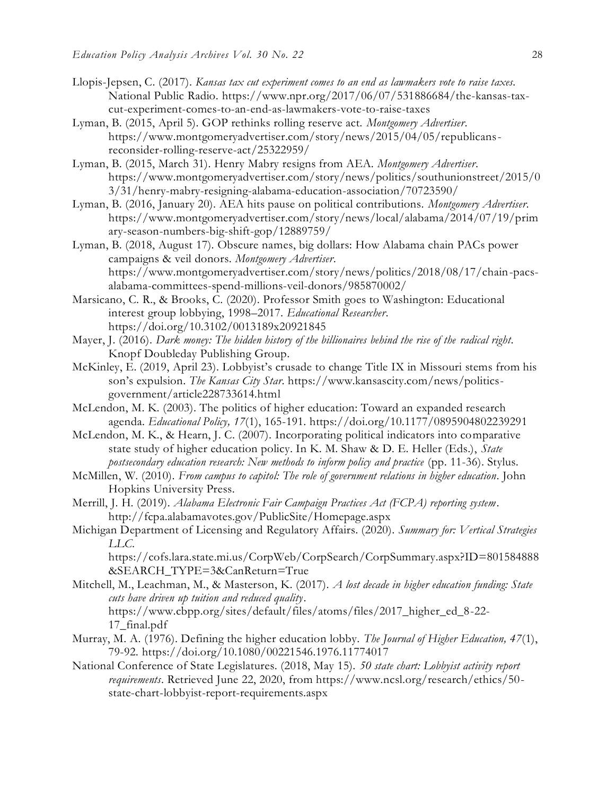- Llopis-Jepsen, C. (2017). *Kansas tax cut experiment comes to an end as lawmakers vote to raise taxes.* National Public Radio. https://www.npr.org/2017/06/07/531886684/the-kansas-taxcut-experiment-comes-to-an-end-as-lawmakers-vote-to-raise-taxes
- Lyman, B. (2015, April 5). GOP rethinks rolling reserve act. *Montgomery Advertiser*. https://www.montgomeryadvertiser.com/story/news/2015/04/05/republicansreconsider-rolling-reserve-act/25322959/
- Lyman, B. (2015, March 31). Henry Mabry resigns from AEA. *Montgomery Advertiser*. https://www.montgomeryadvertiser.com/story/news/politics/southunionstreet/2015/0 3/31/henry-mabry-resigning-alabama-education-association/70723590/
- Lyman, B. (2016, January 20). AEA hits pause on political contributions. *Montgomery Advertiser*. https://www.montgomeryadvertiser.com/story/news/local/alabama/2014/07/19/prim ary-season-numbers-big-shift-gop/12889759/
- Lyman, B. (2018, August 17). Obscure names, big dollars: How Alabama chain PACs power campaigns & veil donors. *Montgomery Advertiser*. https://www.montgomeryadvertiser.com/story/news/politics/2018/08/17/chain-pacsalabama-committees-spend-millions-veil-donors/985870002/
- Marsicano, C. R., & Brooks, C. (2020). Professor Smith goes to Washington: Educational interest group lobbying, 1998–2017. *Educational Researcher*. https://doi.org/10.3102/0013189x20921845
- Mayer, J. (2016). *Dark money: The hidden history of the billionaires behind the rise of the radical right*. Knopf Doubleday Publishing Group.
- McKinley, E. (2019, April 23). Lobbyist's crusade to change Title IX in Missouri stems from his son's expulsion. *The Kansas City Star*. https://www.kansascity.com/news/politicsgovernment/article228733614.html
- McLendon, M. K. (2003). The politics of higher education: Toward an expanded research agenda. *Educational Policy, 17*(1), 165-191. https://doi.org/10.1177/0895904802239291
- McLendon, M. K., & Hearn, J. C. (2007). Incorporating political indicators into comparative state study of higher education policy. In K. M. Shaw & D. E. Heller (Eds.), *State postsecondary education research: New methods to inform policy and practice* (pp. 11-36). Stylus.
- McMillen, W. (2010). *From campus to capitol: The role of government relations in higher education*. John Hopkins University Press.
- Merrill, J. H. (2019). *Alabama Electronic Fair Campaign Practices Act (FCPA) reporting system*. http://fcpa.alabamavotes.gov/PublicSite/Homepage.aspx
- Michigan Department of Licensing and Regulatory Affairs. (2020). *Summary for: Vertical Strategies LLC*.

https://cofs.lara.state.mi.us/CorpWeb/CorpSearch/CorpSummary.aspx?ID=801584888 &SEARCH\_TYPE=3&CanReturn=True

- Mitchell, M., Leachman, M., & Masterson, K. (2017). *A lost decade in higher education funding: State cuts have driven up tuition and reduced quality*. https://www.cbpp.org/sites/default/files/atoms/files/2017\_higher\_ed\_8-22- 17\_final.pdf
- Murray, M. A. (1976). Defining the higher education lobby. *The Journal of Higher Education, 47*(1), 79-92. https://doi.org/10.1080/00221546.1976.11774017
- National Conference of State Legislatures. (2018, May 15). *50 state chart: Lobbyist activity report requirements*. Retrieved June 22, 2020, from https://www.ncsl.org/research/ethics/50 state-chart-lobbyist-report-requirements.aspx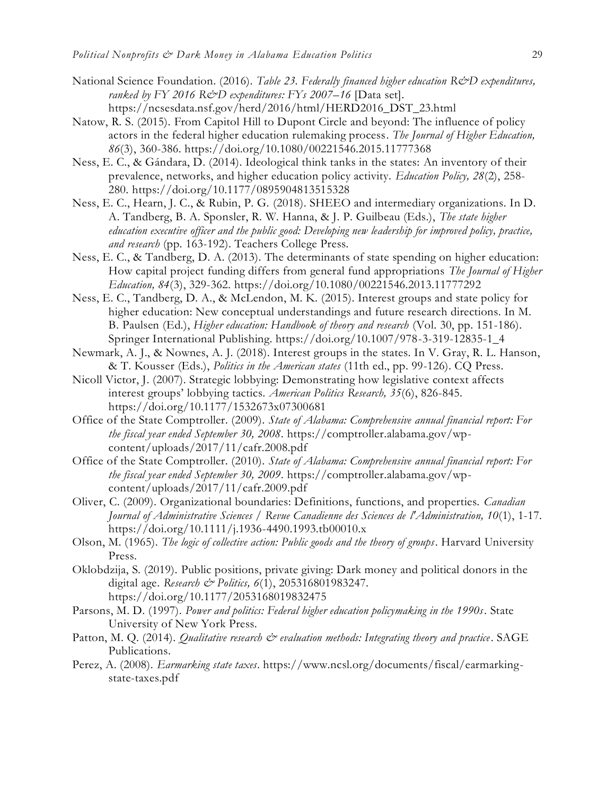- National Science Foundation. (2016). *Table 23. Federally financed higher education R&D expenditures, ranked by FY 2016 R&D expenditures: FYs 2007–16* [Data set]. https://ncsesdata.nsf.gov/herd/2016/html/HERD2016\_DST\_23.html
- Natow, R. S. (2015). From Capitol Hill to Dupont Circle and beyond: The influence of policy actors in the federal higher education rulemaking process. *The Journal of Higher Education, 86*(3), 360-386. https://doi.org/10.1080/00221546.2015.11777368
- Ness, E. C., & Gándara, D. (2014). Ideological think tanks in the states: An inventory of their prevalence, networks, and higher education policy activity. *Education Policy, 28*(2), 258- 280. https://doi.org/10.1177/0895904813515328
- Ness, E. C., Hearn, J. C., & Rubin, P. G. (2018). SHEEO and intermediary organizations. In D. A. Tandberg, B. A. Sponsler, R. W. Hanna, & J. P. Guilbeau (Eds.), *The state higher education executive officer and the public good: Developing new leadership for improved policy, practice, and research* (pp. 163-192). Teachers College Press.
- Ness, E. C., & Tandberg, D. A. (2013). The determinants of state spending on higher education: How capital project funding differs from general fund appropriations *The Journal of Higher Education, 84*(3), 329-362. https://doi.org/10.1080/00221546.2013.11777292
- Ness, E. C., Tandberg, D. A., & McLendon, M. K. (2015). Interest groups and state policy for higher education: New conceptual understandings and future research directions. In M. B. Paulsen (Ed.), *Higher education: Handbook of theory and research* (Vol. 30, pp. 151-186). Springer International Publishing. https://doi.org/10.1007/978-3-319-12835-1\_4
- Newmark, A. J., & Nownes, A. J. (2018). Interest groups in the states. In V. Gray, R. L. Hanson, & T. Kousser (Eds.), *Politics in the American states* (11th ed., pp. 99-126). CQ Press.
- Nicoll Victor, J. (2007). Strategic lobbying: Demonstrating how legislative context affects interest groups' lobbying tactics. *American Politics Research, 35*(6), 826-845. https://doi.org/10.1177/1532673x07300681
- Office of the State Comptroller. (2009). *State of Alabama: Comprehensive annual financial report: For the fiscal year ended September 30, 2008*. https://comptroller.alabama.gov/wpcontent/uploads/2017/11/cafr.2008.pdf
- Office of the State Comptroller. (2010). *State of Alabama: Comprehensive annual financial report: For the fiscal year ended September 30, 2009*. https://comptroller.alabama.gov/wpcontent/uploads/2017/11/cafr.2009.pdf
- Oliver, C. (2009). Organizational boundaries: Definitions, functions, and properties. *Canadian Journal of Administrative Sciences / Revue Canadienne des Sciences de l'Administration, 10*(1), 1-17. https://doi.org/10.1111/j.1936-4490.1993.tb00010.x
- Olson, M. (1965). *The logic of collective action: Public goods and the theory of groups*. Harvard University Press.
- Oklobdzija, S. (2019). Public positions, private giving: Dark money and political donors in the digital age. *Research & Politics, 6*(1), 205316801983247. https://doi.org/10.1177/2053168019832475
- Parsons, M. D. (1997). *Power and politics: Federal higher education policymaking in the 1990s*. State University of New York Press.
- Patton, M. Q. (2014). *Qualitative research*  $\breve{c}$  *evaluation methods: Integrating theory and practice*. SAGE Publications.
- Perez, A. (2008). *Earmarking state taxes*. https://www.ncsl.org/documents/fiscal/earmarkingstate-taxes.pdf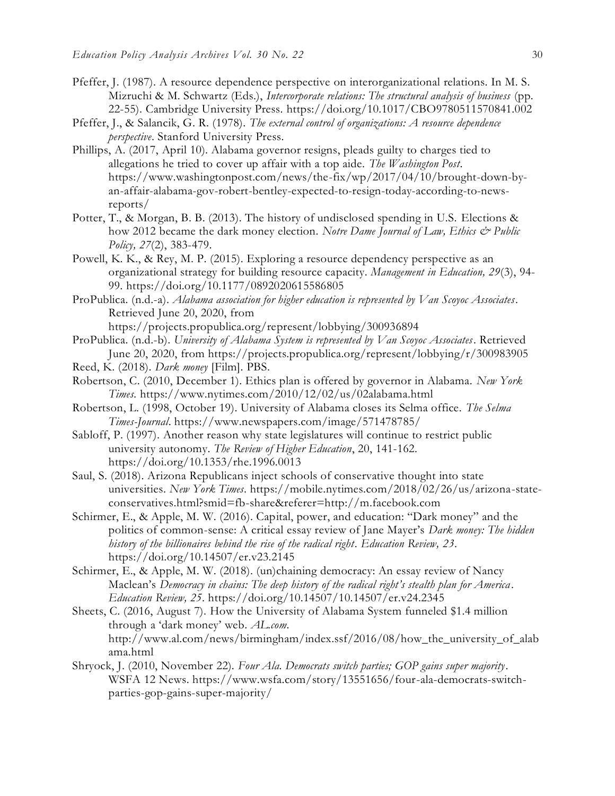- Pfeffer, J. (1987). A resource dependence perspective on interorganizational relations. In M. S. Mizruchi & M. Schwartz (Eds.), *Intercorporate relations: The structural analysis of business* (pp. 22-55). Cambridge University Press.<https://doi.org/10.1017/CBO9780511570841.002>
- Pfeffer, J., & Salancik, G. R. (1978). *The external control of organizations: A resource dependence perspective*. Stanford University Press.
- Phillips, A. (2017, April 10). Alabama governor resigns, pleads guilty to charges tied to allegations he tried to cover up affair with a top aide. *The Washington Post*. https://www.washingtonpost.com/news/the-fix/wp/2017/04/10/brought-down-byan-affair-alabama-gov-robert-bentley-expected-to-resign-today-according-to-newsreports/
- Potter, T., & Morgan, B. B. (2013). The history of undisclosed spending in U.S. Elections & how 2012 became the dark money election. *Notre Dame Journal of Law, Ethics & Public Policy, 27*(2), 383-479.
- Powell, K. K., & Rey, M. P. (2015). Exploring a resource dependency perspective as an organizational strategy for building resource capacity. *Management in Education, 29*(3), 94- 99. https://doi.org/10.1177/0892020615586805
- ProPublica. (n.d.-a). *Alabama association for higher education is represented by Van Scoyoc Associates*. Retrieved June 20, 2020, from

https://projects.propublica.org/represent/lobbying/300936894

- ProPublica. (n.d.-b). *University of Alabama System is represented by Van Scoyoc Associates*. Retrieved June 20, 2020, from https://projects.propublica.org/represent/lobbying/r/300983905
- Reed, K. (2018). *Dark money* [Film]. PBS.
- Robertson, C. (2010, December 1). Ethics plan is offered by governor in Alabama. *New York Times.* https://www.nytimes.com/2010/12/02/us/02alabama.html
- Robertson, L. (1998, October 19). University of Alabama closes its Selma office. *The Selma Times-Journal*. https://www.newspapers.com/image/571478785/
- Sabloff, P. (1997). Another reason why state legislatures will continue to restrict public university autonomy. *The Review of Higher Education*, 20, 141-162. https://doi.org/10.1353/rhe.1996.0013
- Saul, S. (2018). Arizona Republicans inject schools of conservative thought into state universities. *New York Times*. https://mobile.nytimes.com/2018/02/26/us/arizona-stateconservatives.html?smid=fb-share&referer=http://m.facebook.com
- Schirmer, E., & Apple, M. W. (2016). Capital, power, and education: "Dark money" and the politics of common-sense: A critical essay review of Jane Mayer's *Dark money: The hidden history of the billionaires behind the rise of the radical right*. *Education Review, 23*. https://doi.org/10.14507/er.v23.2145
- Schirmer, E., & Apple, M. W. (2018). (un)chaining democracy: An essay review of Nancy Maclean's *Democracy in chains: The deep history of the radical right's stealth plan for America*. *Education Review, 25*. https://doi.org/10.14507/10.14507/er.v24.2345
- Sheets, C. (2016, August 7). How the University of Alabama System funneled \$1.4 million through a 'dark money' web. *AL.com*. http://www.al.com/news/birmingham/index.ssf/2016/08/how\_the\_university\_of\_alab ama.html
- Shryock, J. (2010, November 22). *Four Ala. Democrats switch parties; GOP gains super majority*. WSFA 12 News. https://www.wsfa.com/story/13551656/four-ala-democrats-switchparties-gop-gains-super-majority/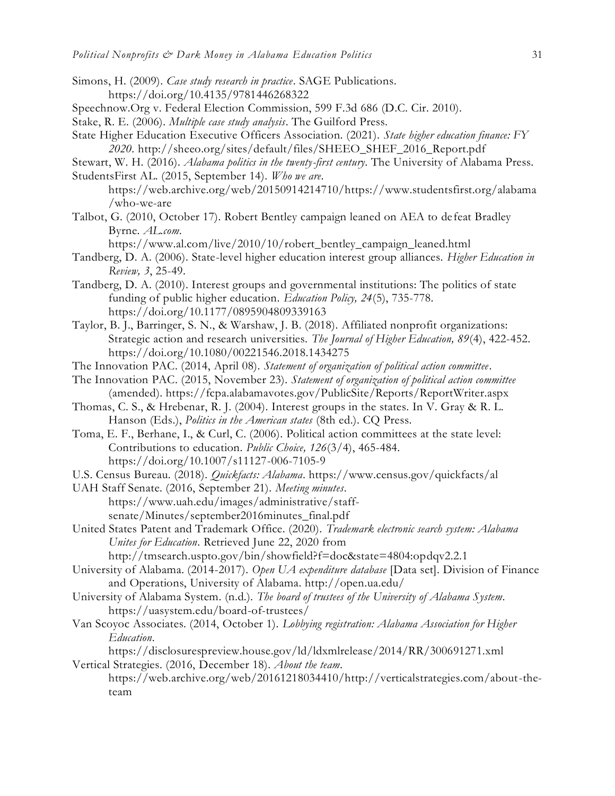- Simons, H. (2009). *Case study research in practice*. SAGE Publications. <https://doi.org/10.4135/9781446268322>
- Speechnow.Org v. Federal Election Commission, 599 F.3d 686 (D.C. Cir. 2010).
- Stake, R. E. (2006). *Multiple case study analysis*. The Guilford Press.
- State Higher Education Executive Officers Association. (2021). *State higher education finance: FY 2020*. http://sheeo.org/sites/default/files/SHEEO\_SHEF\_2016\_Report.pdf
- Stewart, W. H. (2016). *Alabama politics in the twenty-first century*. The University of Alabama Press. StudentsFirst AL. (2015, September 14). *Who we are*.
	- https://web.archive.org/web/20150914214710/https://www.studentsfirst.org/alabama /who-we-are
- Talbot, G. (2010, October 17). Robert Bentley campaign leaned on AEA to defeat Bradley Byrne. *AL.com*.

https://www.al.com/live/2010/10/robert\_bentley\_campaign\_leaned.html

- Tandberg, D. A. (2006). State-level higher education interest group alliances. *Higher Education in Review, 3*, 25-49.
- Tandberg, D. A. (2010). Interest groups and governmental institutions: The politics of state funding of public higher education. *Education Policy, 24*(5), 735-778. https://doi.org/10.1177/0895904809339163
- Taylor, B. J., Barringer, S. N., & Warshaw, J. B. (2018). Affiliated nonprofit organizations: Strategic action and research universities. *The Journal of Higher Education, 89*(4), 422-452. https://doi.org/10.1080/00221546.2018.1434275
- The Innovation PAC. (2014, April 08). *Statement of organization of political action committee*.
- The Innovation PAC. (2015, November 23). *Statement of organization of political action committee* (amended). https://fcpa.alabamavotes.gov/PublicSite/Reports/ReportWriter.aspx
- Thomas, C. S., & Hrebenar, R. J. (2004). Interest groups in the states. In V. Gray & R. L. Hanson (Eds.), *Politics in the American states* (8th ed.). CQ Press.
- Toma, E. F., Berhane, I., & Curl, C. (2006). Political action committees at the state level: Contributions to education. *Public Choice, 126*(3/4), 465-484. <https://doi.org/10.1007/s11127-006-7105-9>
- U.S. Census Bureau. (2018). *Quickfacts: Alabama*. https://www.census.gov/quickfacts/al
- UAH Staff Senate. (2016, September 21). *Meeting minutes*. https://www.uah.edu/images/administrative/staffsenate/Minutes/september2016minutes\_final.pdf
- United States Patent and Trademark Office. (2020). *Trademark electronic search system: Alabama Unites for Education*. Retrieved June 22, 2020 from

http://tmsearch.uspto.gov/bin/showfield?f=doc&state=4804:opdqv2.2.1

- University of Alabama. (2014-2017). *Open UA expenditure database* [Data set]. Division of Finance and Operations, University of Alabama. http://open.ua.edu/
- University of Alabama System. (n.d.). *The board of trustees of the University of Alabama System*. https://uasystem.edu/board-of-trustees/
- Van Scoyoc Associates. (2014, October 1). *Lobbying registration: Alabama Association for Higher Education*.

https://disclosurespreview.house.gov/ld/ldxmlrelease/2014/RR/300691271.xml

Vertical Strategies. (2016, December 18). *About the team*. https://web.archive.org/web/20161218034410/http://verticalstrategies.com/about-theteam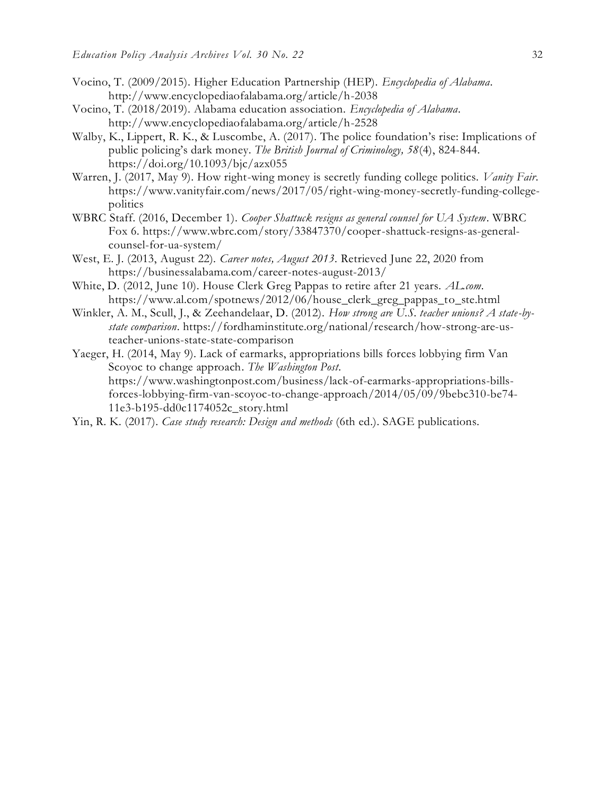- Vocino, T. (2009/2015). Higher Education Partnership (HEP). *Encyclopedia of Alabama*. http://www.encyclopediaofalabama.org/article/h-2038
- Vocino, T. (2018/2019). Alabama education association. *Encyclopedia of Alabama*. http://www.encyclopediaofalabama.org/article/h-2528
- Walby, K., Lippert, R. K., & Luscombe, A. (2017). The police foundation's rise: Implications of public policing's dark money. *The British Journal of Criminology, 58*(4), 824-844. https://doi.org/10.1093/bjc/azx055
- Warren, J. (2017, May 9). How right-wing money is secretly funding college politics. *Vanity Fair*. https://www.vanityfair.com/news/2017/05/right-wing-money-secretly-funding-collegepolitics
- WBRC Staff. (2016, December 1). *Cooper Shattuck resigns as general counsel for UA System*. WBRC Fox 6. https://www.wbrc.com/story/33847370/cooper-shattuck-resigns-as-generalcounsel-for-ua-system/
- West, E. J. (2013, August 22). *Career notes, August 2013*. Retrieved June 22, 2020 from https://businessalabama.com/career-notes-august-2013/
- White, D. (2012, June 10). House Clerk Greg Pappas to retire after 21 years. *AL.com*. https://www.al.com/spotnews/2012/06/house\_clerk\_greg\_pappas\_to\_ste.html
- Winkler, A. M., Scull, J., & Zeehandelaar, D. (2012). *How strong are U.S. teacher unions? A state-bystate comparison*. https://fordhaminstitute.org/national/research/how-strong-are-usteacher-unions-state-state-comparison
- Yaeger, H. (2014, May 9). Lack of earmarks, appropriations bills forces lobbying firm Van Scoyoc to change approach. *The Washington Post*. https://www.washingtonpost.com/business/lack-of-earmarks-appropriations-billsforces-lobbying-firm-van-scoyoc-to-change-approach/2014/05/09/9bebc310-be74- 11e3-b195-dd0c1174052c\_story.html
- Yin, R. K. (2017). *Case study research: Design and methods* (6th ed.). SAGE publications.